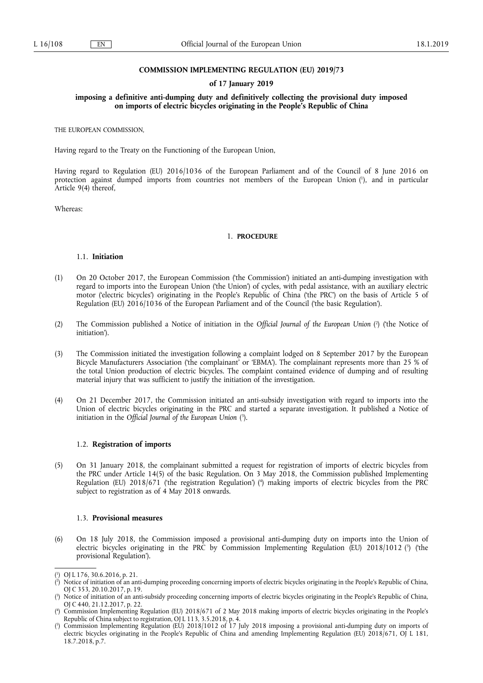### **COMMISSION IMPLEMENTING REGULATION (EU) 2019/73**

### **of 17 January 2019**

### **imposing a definitive anti-dumping duty and definitively collecting the provisional duty imposed on imports of electric bicycles originating in the People's Republic of China**

THE EUROPEAN COMMISSION,

Having regard to the Treaty on the Functioning of the European Union,

Having regard to Regulation (EU) 2016/1036 of the European Parliament and of the Council of 8 June 2016 on protection against dumped imports from countries not members of the European Union ( 1 ), and in particular Article 9(4) thereof,

Whereas:

#### 1. **PROCEDURE**

### 1.1. **Initiation**

- (1) On 20 October 2017, the European Commission ('the Commission') initiated an anti-dumping investigation with regard to imports into the European Union ('the Union') of cycles, with pedal assistance, with an auxiliary electric motor ('electric bicycles') originating in the People's Republic of China ('the PRC') on the basis of Article 5 of Regulation (EU) 2016/1036 of the European Parliament and of the Council ('the basic Regulation').
- (2) The Commission published a Notice of initiation in the Official Journal of the European Union (<sup>2</sup>) ('the Notice of initiation').
- (3) The Commission initiated the investigation following a complaint lodged on 8 September 2017 by the European Bicycle Manufacturers Association ('the complainant' or 'EBMA'). The complainant represents more than 25 % of the total Union production of electric bicycles. The complaint contained evidence of dumping and of resulting material injury that was sufficient to justify the initiation of the investigation.
- (4) On 21 December 2017, the Commission initiated an anti-subsidy investigation with regard to imports into the Union of electric bicycles originating in the PRC and started a separate investigation. It published a Notice of initiation in the *Official Journal of the European Union* ( 3 ).

## 1.2. **Registration of imports**

(5) On 31 January 2018, the complainant submitted a request for registration of imports of electric bicycles from the PRC under Article 14(5) of the basic Regulation. On 3 May 2018, the Commission published Implementing Regulation (EU) 2018/671 ('the registration Regulation') ( 4 ) making imports of electric bicycles from the PRC subject to registration as of 4 May 2018 onwards.

### 1.3. **Provisional measures**

(6) On 18 July 2018, the Commission imposed a provisional anti-dumping duty on imports into the Union of electric bicycles originating in the PRC by Commission Implementing Regulation (EU) 2018/1012 (<sup>5</sup>) ('the provisional Regulation').

<sup>(</sup> 1 ) OJ L 176, 30.6.2016, p. 21.

<sup>(</sup> 2 ) Notice of initiation of an anti-dumping proceeding concerning imports of electric bicycles originating in the People's Republic of China, OJ C 353, 20.10.2017, p. 19.

<sup>(</sup> 3 ) Notice of initiation of an anti-subsidy proceeding concerning imports of electric bicycles originating in the People's Republic of China, OJ C 440, 21.12.2017, p. 22.

<sup>(</sup> 4 ) Commission Implementing Regulation (EU) 2018/671 of 2 May 2018 making imports of electric bicycles originating in the People's Republic of China subject to registration, OJ L 113, 3.5.2018, p. 4.

<sup>(</sup> 5 ) Commission Implementing Regulation (EU) 2018/1012 of 17 July 2018 imposing a provisional anti-dumping duty on imports of electric bicycles originating in the People's Republic of China and amending Implementing Regulation (EU) 2018/671, OJ L 181, 18.7.2018, p.7.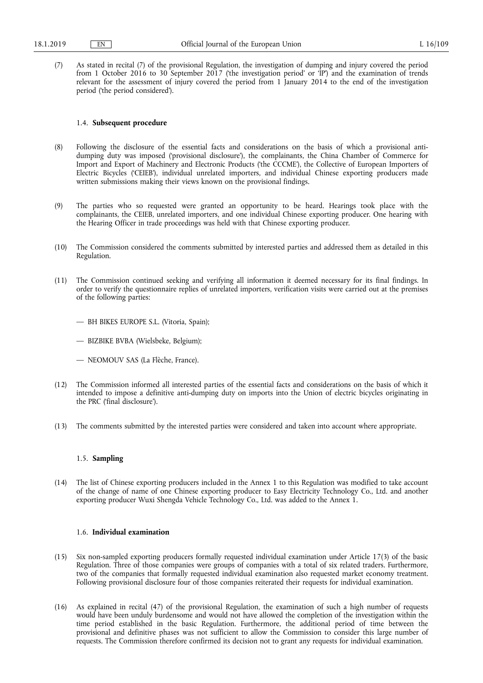(7) As stated in recital (7) of the provisional Regulation, the investigation of dumping and injury covered the period from 1 October 2016 to 30 September 2017 ('the investigation period' or 'IP') and the examination of trends relevant for the assessment of injury covered the period from 1 January 2014 to the end of the investigation period ('the period considered').

### 1.4. **Subsequent procedure**

- (8) Following the disclosure of the essential facts and considerations on the basis of which a provisional antidumping duty was imposed ('provisional disclosure'), the complainants, the China Chamber of Commerce for Import and Export of Machinery and Electronic Products ('the CCCME'), the Collective of European Importers of Electric Bicycles ('CEIEB'), individual unrelated importers, and individual Chinese exporting producers made written submissions making their views known on the provisional findings.
- (9) The parties who so requested were granted an opportunity to be heard. Hearings took place with the complainants, the CEIEB, unrelated importers, and one individual Chinese exporting producer. One hearing with the Hearing Officer in trade proceedings was held with that Chinese exporting producer.
- (10) The Commission considered the comments submitted by interested parties and addressed them as detailed in this Regulation.
- (11) The Commission continued seeking and verifying all information it deemed necessary for its final findings. In order to verify the questionnaire replies of unrelated importers, verification visits were carried out at the premises of the following parties:

— BH BIKES EUROPE S.L. (Vitoria, Spain);

- BIZBIKE BVBA (Wielsbeke, Belgium);
- NEOMOUV SAS (La Flèche, France).
- (12) The Commission informed all interested parties of the essential facts and considerations on the basis of which it intended to impose a definitive anti-dumping duty on imports into the Union of electric bicycles originating in the PRC ('final disclosure').
- (13) The comments submitted by the interested parties were considered and taken into account where appropriate.

### 1.5. **Sampling**

(14) The list of Chinese exporting producers included in the Annex 1 to this Regulation was modified to take account of the change of name of one Chinese exporting producer to Easy Electricity Technology Co., Ltd. and another exporting producer Wuxi Shengda Vehicle Technology Co., Ltd. was added to the Annex 1.

#### 1.6. **Individual examination**

- (15) Six non-sampled exporting producers formally requested individual examination under Article 17(3) of the basic Regulation. Three of those companies were groups of companies with a total of six related traders. Furthermore, two of the companies that formally requested individual examination also requested market economy treatment. Following provisional disclosure four of those companies reiterated their requests for individual examination.
- (16) As explained in recital (47) of the provisional Regulation, the examination of such a high number of requests would have been unduly burdensome and would not have allowed the completion of the investigation within the time period established in the basic Regulation. Furthermore, the additional period of time between the provisional and definitive phases was not sufficient to allow the Commission to consider this large number of requests. The Commission therefore confirmed its decision not to grant any requests for individual examination.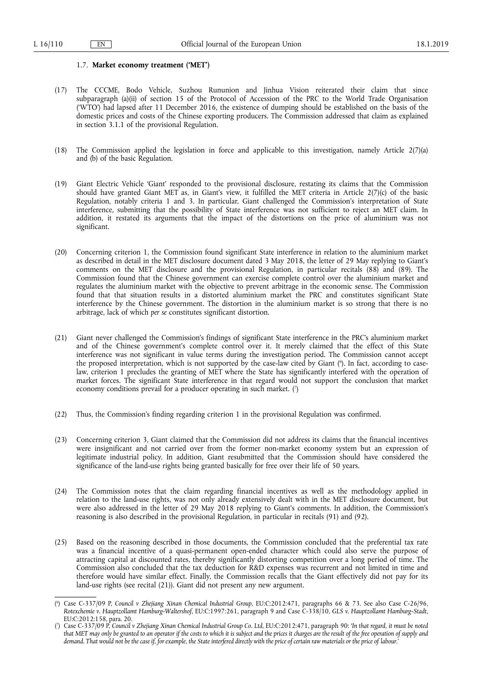#### 1.7. **Market economy treatment ('MET')**

- (17) The CCCME, Bodo Vehicle, Suzhou Rununion and Jinhua Vision reiterated their claim that since subparagraph (a)(ii) of section 15 of the Protocol of Accession of the PRC to the World Trade Organisation ('WTO') had lapsed after 11 December 2016, the existence of dumping should be established on the basis of the domestic prices and costs of the Chinese exporting producers. The Commission addressed that claim as explained in section 3.1.1 of the provisional Regulation.
- (18) The Commission applied the legislation in force and applicable to this investigation, namely Article 2(7)(a) and (b) of the basic Regulation.
- (19) Giant Electric Vehicle 'Giant' responded to the provisional disclosure, restating its claims that the Commission should have granted Giant MET as, in Giant's view, it fulfilled the MET criteria in Article 2(7)(c) of the basic Regulation, notably criteria 1 and 3. In particular, Giant challenged the Commission's interpretation of State interference, submitting that the possibility of State interference was not sufficient to reject an MET claim. In addition, it restated its arguments that the impact of the distortions on the price of aluminium was not significant.
- (20) Concerning criterion 1, the Commission found significant State interference in relation to the aluminium market as described in detail in the MET disclosure document dated 3 May 2018, the letter of 29 May replying to Giant's comments on the MET disclosure and the provisional Regulation, in particular recitals (88) and (89). The Commission found that the Chinese government can exercise complete control over the aluminium market and regulates the aluminium market with the objective to prevent arbitrage in the economic sense. The Commission found that that situation results in a distorted aluminium market the PRC and constitutes significant State interference by the Chinese government. The distortion in the aluminium market is so strong that there is no arbitrage, lack of which *per se* constitutes significant distortion.
- (21) Giant never challenged the Commission's findings of significant State interference in the PRC's aluminium market and of the Chinese government's complete control over it. It merely claimed that the effect of this State interference was not significant in value terms during the investigation period. The Commission cannot accept the proposed interpretation, which is not supported by the case-law cited by Giant ( 6 ). In fact, according to caselaw, criterion 1 precludes the granting of MET where the State has significantly interfered with the operation of market forces. The significant State interference in that regard would not support the conclusion that market economy conditions prevail for a producer operating in such market. (?)
- (22) Thus, the Commission's finding regarding criterion 1 in the provisional Regulation was confirmed.
- (23) Concerning criterion 3, Giant claimed that the Commission did not address its claims that the financial incentives were insignificant and not carried over from the former non-market economy system but an expression of legitimate industrial policy. In addition, Giant resubmitted that the Commission should have considered the significance of the land-use rights being granted basically for free over their life of 50 years.
- (24) The Commission notes that the claim regarding financial incentives as well as the methodology applied in relation to the land-use rights, was not only already extensively dealt with in the MET disclosure document, but were also addressed in the letter of 29 May 2018 replying to Giant's comments. In addition, the Commission's reasoning is also described in the provisional Regulation, in particular in recitals (91) and (92).
- (25) Based on the reasoning described in those documents, the Commission concluded that the preferential tax rate was a financial incentive of a quasi-permanent open-ended character which could also serve the purpose of attracting capital at discounted rates, thereby significantly distorting competition over a long period of time. The Commission also concluded that the tax deduction for R&D expenses was recurrent and not limited in time and therefore would have similar effect. Finally, the Commission recalls that the Giant effectively did not pay for its land-use rights (see recital (21)). Giant did not present any new argument.

<sup>(</sup> 6 ) Case C-337/09 P, *Council v Zhejiang Xinan Chemical Industrial Group*, EU:C:2012:471, paragraphs 66 & 73. See also Case C-26/96, *Rotexchemie v. Hauptzollamt Hamburg-Waltershof*, EU:C:1997:261, paragraph 9 and Case C-338/10, *GLS v. Hauptzollamt Hamburg-Stadt*, EU:C:2012:158, para. 20.

<sup>(</sup> 7 ) Case C-337/09 P, *Council v Zhejiang Xinan Chemical Industrial Group Co. Ltd*, EU:C:2012:471, paragraph 90: '*In that regard, it must be noted that MET may only be granted to an operator if the costs to which it is subject and the prices it charges are the result of the free operation of supply and demand. That would not be the case if, for example, the State interfered directly with the price of certain raw materials or the price of labour*.'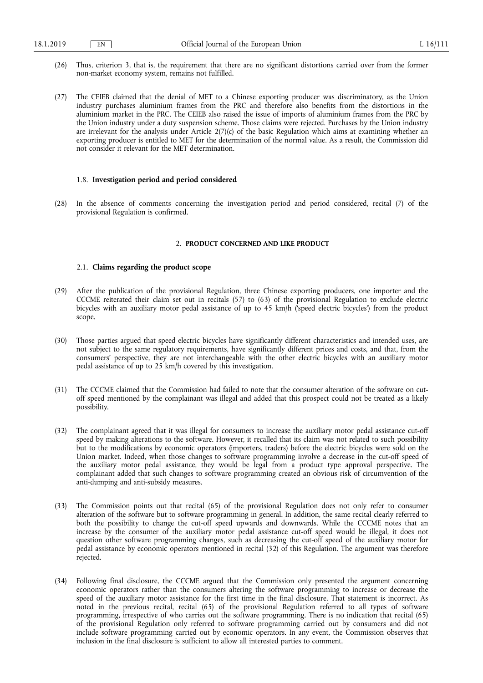- (26) Thus, criterion 3, that is, the requirement that there are no significant distortions carried over from the former non-market economy system, remains not fulfilled.
- (27) The CEIEB claimed that the denial of MET to a Chinese exporting producer was discriminatory, as the Union industry purchases aluminium frames from the PRC and therefore also benefits from the distortions in the aluminium market in the PRC. The CEIEB also raised the issue of imports of aluminium frames from the PRC by the Union industry under a duty suspension scheme. Those claims were rejected. Purchases by the Union industry are irrelevant for the analysis under Article 2(7)(c) of the basic Regulation which aims at examining whether an exporting producer is entitled to MET for the determination of the normal value. As a result, the Commission did not consider it relevant for the MET determination.

#### 1.8. **Investigation period and period considered**

(28) In the absence of comments concerning the investigation period and period considered, recital (7) of the provisional Regulation is confirmed.

#### 2. **PRODUCT CONCERNED AND LIKE PRODUCT**

# 2.1. **Claims regarding the product scope**

- (29) After the publication of the provisional Regulation, three Chinese exporting producers, one importer and the CCCME reiterated their claim set out in recitals (57) to (63) of the provisional Regulation to exclude electric bicycles with an auxiliary motor pedal assistance of up to 45 km/h (speed electric bicycles') from the product scope.
- (30) Those parties argued that speed electric bicycles have significantly different characteristics and intended uses, are not subject to the same regulatory requirements, have significantly different prices and costs, and that, from the consumers' perspective, they are not interchangeable with the other electric bicycles with an auxiliary motor pedal assistance of up to 25 km/h covered by this investigation.
- (31) The CCCME claimed that the Commission had failed to note that the consumer alteration of the software on cutoff speed mentioned by the complainant was illegal and added that this prospect could not be treated as a likely possibility.
- (32) The complainant agreed that it was illegal for consumers to increase the auxiliary motor pedal assistance cut-off speed by making alterations to the software. However, it recalled that its claim was not related to such possibility but to the modifications by economic operators (importers, traders) before the electric bicycles were sold on the Union market. Indeed, when those changes to software programming involve a decrease in the cut-off speed of the auxiliary motor pedal assistance, they would be legal from a product type approval perspective. The complainant added that such changes to software programming created an obvious risk of circumvention of the anti-dumping and anti-subsidy measures.
- (33) The Commission points out that recital (65) of the provisional Regulation does not only refer to consumer alteration of the software but to software programming in general. In addition, the same recital clearly referred to both the possibility to change the cut-off speed upwards and downwards. While the CCCME notes that an increase by the consumer of the auxiliary motor pedal assistance cut-off speed would be illegal, it does not question other software programming changes, such as decreasing the cut-off speed of the auxiliary motor for pedal assistance by economic operators mentioned in recital (32) of this Regulation. The argument was therefore rejected.
- (34) Following final disclosure, the CCCME argued that the Commission only presented the argument concerning economic operators rather than the consumers altering the software programming to increase or decrease the speed of the auxiliary motor assistance for the first time in the final disclosure. That statement is incorrect. As noted in the previous recital, recital (65) of the provisional Regulation referred to all types of software programming, irrespective of who carries out the software programming. There is no indication that recital (65) of the provisional Regulation only referred to software programming carried out by consumers and did not include software programming carried out by economic operators. In any event, the Commission observes that inclusion in the final disclosure is sufficient to allow all interested parties to comment.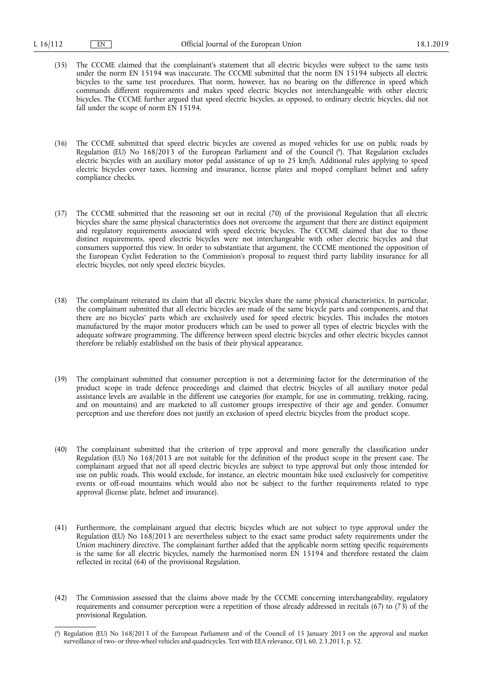- (35) The CCCME claimed that the complainant's statement that all electric bicycles were subject to the same tests under the norm EN 15194 was inaccurate. The CCCME submitted that the norm EN 15194 subjects all electric bicycles to the same test procedures. That norm, however, has no bearing on the difference in speed which commands different requirements and makes speed electric bicycles not interchangeable with other electric bicycles. The CCCME further argued that speed electric bicycles, as opposed, to ordinary electric bicycles, did not fall under the scope of norm EN 15194.
- (36) The CCCME submitted that speed electric bicycles are covered as moped vehicles for use on public roads by Regulation (EU) No 168/2013 of the European Parliament and of the Council ( 8 ). That Regulation excludes electric bicycles with an auxiliary motor pedal assistance of up to 25 km/h. Additional rules applying to speed electric bicycles cover taxes, licensing and insurance, license plates and moped compliant helmet and safety compliance checks.
- (37) The CCCME submitted that the reasoning set out in recital (70) of the provisional Regulation that all electric bicycles share the same physical characteristics does not overcome the argument that there are distinct equipment and regulatory requirements associated with speed electric bicycles. The CCCME claimed that due to those distinct requirements, speed electric bicycles were not interchangeable with other electric bicycles and that consumers supported this view. In order to substantiate that argument, the CCCME mentioned the opposition of the European Cyclist Federation to the Commission's proposal to request third party liability insurance for all electric bicycles, not only speed electric bicycles.
- (38) The complainant reiterated its claim that all electric bicycles share the same physical characteristics. In particular, the complainant submitted that all electric bicycles are made of the same bicycle parts and components, and that there are no bicycles' parts which are exclusively used for speed electric bicycles. This includes the motors manufactured by the major motor producers which can be used to power all types of electric bicycles with the adequate software programming. The difference between speed electric bicycles and other electric bicycles cannot therefore be reliably established on the basis of their physical appearance.
- (39) The complainant submitted that consumer perception is not a determining factor for the determination of the product scope in trade defence proceedings and claimed that electric bicycles of all auxiliary motor pedal assistance levels are available in the different use categories (for example, for use in commuting, trekking, racing, and on mountains) and are marketed to all customer groups irrespective of their age and gender. Consumer perception and use therefore does not justify an exclusion of speed electric bicycles from the product scope.
- (40) The complainant submitted that the criterion of type approval and more generally the classification under Regulation (EU) No 168/2013 are not suitable for the definition of the product scope in the present case. The complainant argued that not all speed electric bicycles are subject to type approval but only those intended for use on public roads. This would exclude, for instance, an electric mountain bike used exclusively for competitive events or off-road mountains which would also not be subject to the further requirements related to type approval (license plate, helmet and insurance).
- (41) Furthermore, the complainant argued that electric bicycles which are not subject to type approval under the Regulation (EU) No 168/2013 are nevertheless subject to the exact same product safety requirements under the Union machinery directive. The complainant further added that the applicable norm setting specific requirements is the same for all electric bicycles, namely the harmonised norm EN 15194 and therefore restated the claim reflected in recital (64) of the provisional Regulation.
- (42) The Commission assessed that the claims above made by the CCCME concerning interchangeability, regulatory requirements and consumer perception were a repetition of those already addressed in recitals (67) to (73) of the provisional Regulation.

<sup>(</sup> 8 ) Regulation (EU) No 168/2013 of the European Parliament and of the Council of 15 January 2013 on the approval and market surveillance of two- or three-wheel vehicles and quadricycles. Text with EEA relevance, OJ L 60, 2.3.2013, p. 52.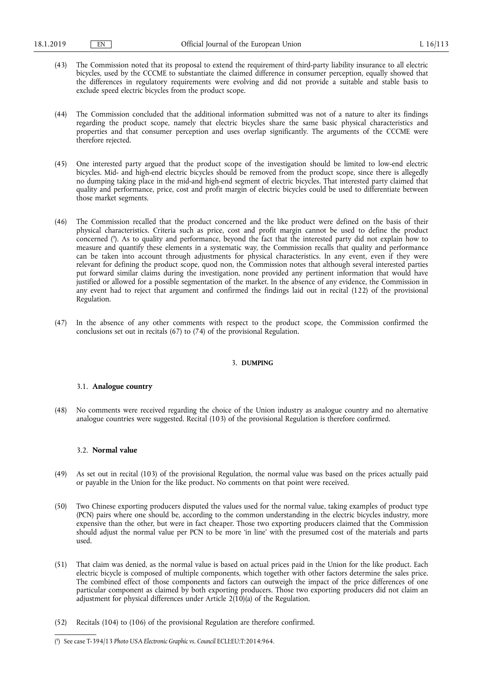- (43) The Commission noted that its proposal to extend the requirement of third-party liability insurance to all electric bicycles, used by the CCCME to substantiate the claimed difference in consumer perception, equally showed that the differences in regulatory requirements were evolving and did not provide a suitable and stable basis to exclude speed electric bicycles from the product scope.
- (44) The Commission concluded that the additional information submitted was not of a nature to alter its findings regarding the product scope, namely that electric bicycles share the same basic physical characteristics and properties and that consumer perception and uses overlap significantly. The arguments of the CCCME were therefore rejected.
- (45) One interested party argued that the product scope of the investigation should be limited to low-end electric bicycles. Mid- and high-end electric bicycles should be removed from the product scope, since there is allegedly no dumping taking place in the mid-and high-end segment of electric bicycles. That interested party claimed that quality and performance, price, cost and profit margin of electric bicycles could be used to differentiate between those market segments.
- (46) The Commission recalled that the product concerned and the like product were defined on the basis of their physical characteristics. Criteria such as price, cost and profit margin cannot be used to define the product concerned ( 9 ). As to quality and performance, beyond the fact that the interested party did not explain how to measure and quantify these elements in a systematic way, the Commission recalls that quality and performance can be taken into account through adjustments for physical characteristics. In any event, even if they were relevant for defining the product scope, quod non, the Commission notes that although several interested parties put forward similar claims during the investigation, none provided any pertinent information that would have justified or allowed for a possible segmentation of the market. In the absence of any evidence, the Commission in any event had to reject that argument and confirmed the findings laid out in recital (122) of the provisional Regulation.
- (47) In the absence of any other comments with respect to the product scope, the Commission confirmed the conclusions set out in recitals (67) to (74) of the provisional Regulation.

#### 3. **DUMPING**

## 3.1. **Analogue country**

(48) No comments were received regarding the choice of the Union industry as analogue country and no alternative analogue countries were suggested. Recital (103) of the provisional Regulation is therefore confirmed.

# 3.2. **Normal value**

- (49) As set out in recital (103) of the provisional Regulation, the normal value was based on the prices actually paid or payable in the Union for the like product. No comments on that point were received.
- (50) Two Chinese exporting producers disputed the values used for the normal value, taking examples of product type (PCN) pairs where one should be, according to the common understanding in the electric bicycles industry, more expensive than the other, but were in fact cheaper. Those two exporting producers claimed that the Commission should adjust the normal value per PCN to be more 'in line' with the presumed cost of the materials and parts used.
- (51) That claim was denied, as the normal value is based on actual prices paid in the Union for the like product. Each electric bicycle is composed of multiple components, which together with other factors determine the sales price. The combined effect of those components and factors can outweigh the impact of the price differences of one particular component as claimed by both exporting producers. Those two exporting producers did not claim an adjustment for physical differences under Article  $2(10)(a)$  of the Regulation.
- (52) Recitals (104) to (106) of the provisional Regulation are therefore confirmed.

<sup>(</sup> 9 ) See case T-394/13 *Photo USA Electronic Graphic vs. Council* ECLI:EU:T:2014:964.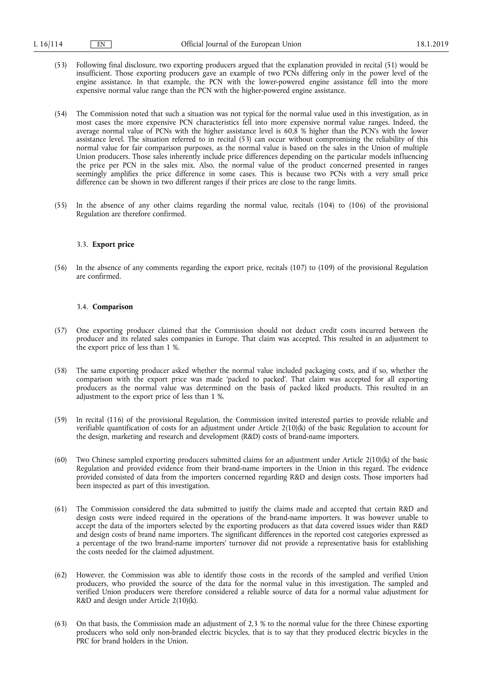- (53) Following final disclosure, two exporting producers argued that the explanation provided in recital (51) would be insufficient. Those exporting producers gave an example of two PCNs differing only in the power level of the engine assistance. In that example, the PCN with the lower-powered engine assistance fell into the more expensive normal value range than the PCN with the higher-powered engine assistance.
- (54) The Commission noted that such a situation was not typical for the normal value used in this investigation, as in most cases the more expensive PCN characteristics fell into more expensive normal value ranges. Indeed, the average normal value of PCNs with the higher assistance level is  $60.8$  % higher than the PCN's with the lower assistance level. The situation referred to in recital (53) can occur without compromising the reliability of this normal value for fair comparison purposes, as the normal value is based on the sales in the Union of multiple Union producers. Those sales inherently include price differences depending on the particular models influencing the price per PCN in the sales mix. Also, the normal value of the product concerned presented in ranges seemingly amplifies the price difference in some cases. This is because two PCNs with a very small price difference can be shown in two different ranges if their prices are close to the range limits.
- (55) In the absence of any other claims regarding the normal value, recitals (104) to (106) of the provisional Regulation are therefore confirmed.

### 3.3. **Export price**

(56) In the absence of any comments regarding the export price, recitals (107) to (109) of the provisional Regulation are confirmed.

### 3.4. **Comparison**

- (57) One exporting producer claimed that the Commission should not deduct credit costs incurred between the producer and its related sales companies in Europe. That claim was accepted. This resulted in an adjustment to the export price of less than 1 %.
- (58) The same exporting producer asked whether the normal value included packaging costs, and if so, whether the comparison with the export price was made 'packed to packed'. That claim was accepted for all exporting producers as the normal value was determined on the basis of packed liked products. This resulted in an adjustment to the export price of less than 1 %.
- (59) In recital (116) of the provisional Regulation, the Commission invited interested parties to provide reliable and verifiable quantification of costs for an adjustment under Article 2(10)(k) of the basic Regulation to account for the design, marketing and research and development (R&D) costs of brand-name importers.
- (60) Two Chinese sampled exporting producers submitted claims for an adjustment under Article 2(10)(k) of the basic Regulation and provided evidence from their brand-name importers in the Union in this regard. The evidence provided consisted of data from the importers concerned regarding R&D and design costs. Those importers had been inspected as part of this investigation.
- (61) The Commission considered the data submitted to justify the claims made and accepted that certain R&D and design costs were indeed required in the operations of the brand-name importers. It was however unable to accept the data of the importers selected by the exporting producers as that data covered issues wider than R&D and design costs of brand name importers. The significant differences in the reported cost categories expressed as a percentage of the two brand-name importers' turnover did not provide a representative basis for establishing the costs needed for the claimed adjustment.
- (62) However, the Commission was able to identify those costs in the records of the sampled and verified Union producers, who provided the source of the data for the normal value in this investigation. The sampled and verified Union producers were therefore considered a reliable source of data for a normal value adjustment for R&D and design under Article 2(10)(k).
- (63) On that basis, the Commission made an adjustment of 2,3 % to the normal value for the three Chinese exporting producers who sold only non-branded electric bicycles, that is to say that they produced electric bicycles in the PRC for brand holders in the Union.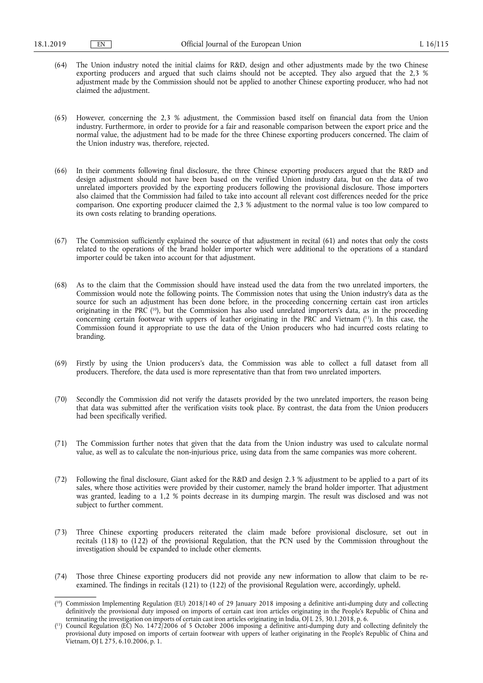- (64) The Union industry noted the initial claims for R&D, design and other adjustments made by the two Chinese exporting producers and argued that such claims should not be accepted. They also argued that the 2,3 % adjustment made by the Commission should not be applied to another Chinese exporting producer, who had not claimed the adjustment.
- (65) However, concerning the 2,3 % adjustment, the Commission based itself on financial data from the Union industry. Furthermore, in order to provide for a fair and reasonable comparison between the export price and the normal value, the adjustment had to be made for the three Chinese exporting producers concerned. The claim of the Union industry was, therefore, rejected.
- (66) In their comments following final disclosure, the three Chinese exporting producers argued that the R&D and design adjustment should not have been based on the verified Union industry data, but on the data of two unrelated importers provided by the exporting producers following the provisional disclosure. Those importers also claimed that the Commission had failed to take into account all relevant cost differences needed for the price comparison. One exporting producer claimed the 2,3 % adjustment to the normal value is too low compared to its own costs relating to branding operations.
- (67) The Commission sufficiently explained the source of that adjustment in recital (61) and notes that only the costs related to the operations of the brand holder importer which were additional to the operations of a standard importer could be taken into account for that adjustment.
- (68) As to the claim that the Commission should have instead used the data from the two unrelated importers, the Commission would note the following points. The Commission notes that using the Union industry's data as the source for such an adjustment has been done before, in the proceeding concerning certain cast iron articles originating in the PRC ( 10), but the Commission has also used unrelated importers's data, as in the proceeding concerning certain footwear with uppers of leather originating in the PRC and Vietnam ( 11). In this case, the Commission found it appropriate to use the data of the Union producers who had incurred costs relating to branding.
- (69) Firstly by using the Union producers's data, the Commission was able to collect a full dataset from all producers. Therefore, the data used is more representative than that from two unrelated importers.
- (70) Secondly the Commission did not verify the datasets provided by the two unrelated importers, the reason being that data was submitted after the verification visits took place. By contrast, the data from the Union producers had been specifically verified.
- (71) The Commission further notes that given that the data from the Union industry was used to calculate normal value, as well as to calculate the non-injurious price, using data from the same companies was more coherent.
- (72) Following the final disclosure, Giant asked for the R&D and design 2.3 % adjustment to be applied to a part of its sales, where those activities were provided by their customer, namely the brand holder importer. That adjustment was granted, leading to a 1,2 % points decrease in its dumping margin. The result was disclosed and was not subject to further comment.
- (73) Three Chinese exporting producers reiterated the claim made before provisional disclosure, set out in recitals (118) to (122) of the provisional Regulation, that the PCN used by the Commission throughout the investigation should be expanded to include other elements.
- (74) Those three Chinese exporting producers did not provide any new information to allow that claim to be reexamined. The findings in recitals (121) to (122) of the provisional Regulation were, accordingly, upheld.

<sup>(</sup> 10) Commission Implementing Regulation (EU) 2018/140 of 29 January 2018 imposing a definitive anti-dumping duty and collecting definitively the provisional duty imposed on imports of certain cast iron articles originating in the People's Republic of China and terminating the investigation on imports of certain cast iron articles originating in India, OJ L 25, 30.1.2018, p. 6.

<sup>(</sup> 11) Council Regulation (EC) No. 1472/2006 of 5 October 2006 imposing a definitive anti-dumping duty and collecting definitely the provisional duty imposed on imports of certain footwear with uppers of leather originating in the People's Republic of China and Vietnam, OJ L 275, 6.10.2006, p. 1.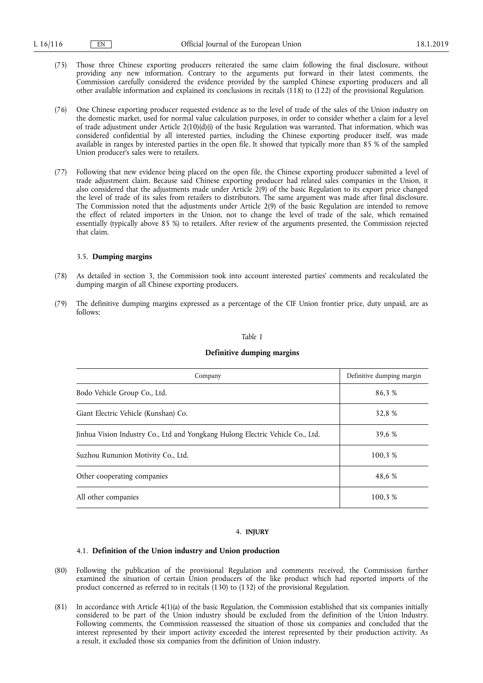- (75) Those three Chinese exporting producers reiterated the same claim following the final disclosure, without providing any new information. Contrary to the arguments put forward in their latest comments, the Commission carefully considered the evidence provided by the sampled Chinese exporting producers and all other available information and explained its conclusions in recitals (118) to (122) of the provisional Regulation.
- (76) One Chinese exporting producer requested evidence as to the level of trade of the sales of the Union industry on the domestic market, used for normal value calculation purposes, in order to consider whether a claim for a level of trade adjustment under Article  $2(10)(d)(i)$  of the basic Regulation was warranted. That information, which was considered confidential by all interested parties, including the Chinese exporting producer itself, was made available in ranges by interested parties in the open file. It showed that typically more than 85 % of the sampled Union producer's sales were to retailers.
- (77) Following that new evidence being placed on the open file, the Chinese exporting producer submitted a level of trade adjustment claim. Because said Chinese exporting producer had related sales companies in the Union, it also considered that the adjustments made under Article 2(9) of the basic Regulation to its export price changed the level of trade of its sales from retailers to distributors. The same argument was made after final disclosure. The Commission noted that the adjustments under Article 2(9) of the basic Regulation are intended to remove the effect of related importers in the Union, not to change the level of trade of the sale, which remained essentially (typically above 85 %) to retailers. After review of the arguments presented, the Commission rejected that claim.

### 3.5. **Dumping margins**

- (78) As detailed in section 3, the Commission took into account interested parties' comments and recalculated the dumping margin of all Chinese exporting producers.
- (79) The definitive dumping margins expressed as a percentage of the CIF Union frontier price, duty unpaid, are as follows:

### *Table 1*

### **Definitive dumping margins**

| Company                                                                        | Definitive dumping margin |
|--------------------------------------------------------------------------------|---------------------------|
| Bodo Vehicle Group Co., Ltd.                                                   | 86.3 %                    |
| Giant Electric Vehicle (Kunshan) Co.                                           | 32.8 %                    |
| Jinhua Vision Industry Co., Ltd and Yongkang Hulong Electric Vehicle Co., Ltd. | 39.6 %                    |
| Suzhou Rununion Motivity Co., Ltd.                                             | 100.3 %                   |
| Other cooperating companies                                                    | 48.6 %                    |
| All other companies                                                            | 100.3 %                   |

### 4. **INJURY**

### 4.1. **Definition of the Union industry and Union production**

- (80) Following the publication of the provisional Regulation and comments received, the Commission further examined the situation of certain Union producers of the like product which had reported imports of the product concerned as referred to in recitals (130) to (132) of the provisional Regulation.
- (81) In accordance with Article 4(1)(a) of the basic Regulation, the Commission established that six companies initially considered to be part of the Union industry should be excluded from the definition of the Union Industry. Following comments, the Commission reassessed the situation of those six companies and concluded that the interest represented by their import activity exceeded the interest represented by their production activity. As a result, it excluded those six companies from the definition of Union industry.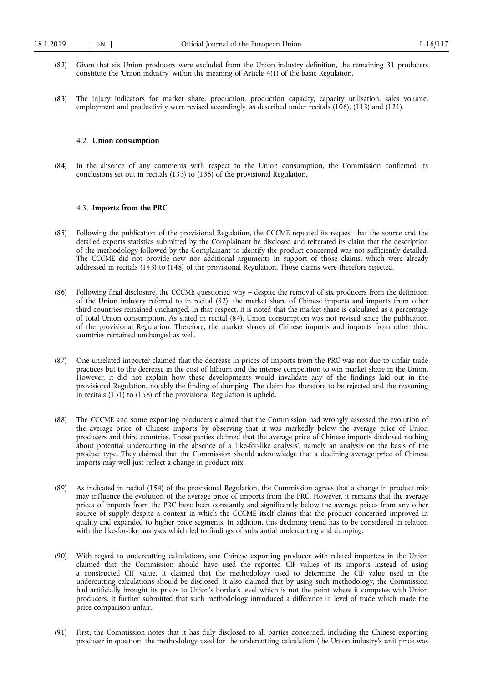- (82) Given that six Union producers were excluded from the Union industry definition, the remaining 31 producers constitute the 'Union industry' within the meaning of Article 4(1) of the basic Regulation.
- (83) The injury indicators for market share, production, production capacity, capacity utilisation, sales volume, employment and productivity were revised accordingly, as described under recitals (106), (113) and (121).

#### 4.2. **Union consumption**

(84) In the absence of any comments with respect to the Union consumption, the Commission confirmed its conclusions set out in recitals (133) to (135) of the provisional Regulation.

## 4.3. **Imports from the PRC**

- (85) Following the publication of the provisional Regulation, the CCCME repeated its request that the source and the detailed exports statistics submitted by the Complainant be disclosed and reiterated its claim that the description of the methodology followed by the Complainant to identify the product concerned was not sufficiently detailed. The CCCME did not provide new nor additional arguments in support of those claims, which were already addressed in recitals (143) to (148) of the provisional Regulation. Those claims were therefore rejected.
- (86) Following final disclosure, the CCCME questioned why despite the removal of six producers from the definition of the Union industry referred to in recital (82), the market share of Chinese imports and imports from other third countries remained unchanged. In that respect, it is noted that the market share is calculated as a percentage of total Union consumption. As stated in recital (84), Union consumption was not revised since the publication of the provisional Regulation. Therefore, the market shares of Chinese imports and imports from other third countries remained unchanged as well.
- (87) One unrelated importer claimed that the decrease in prices of imports from the PRC was not due to unfair trade practices but to the decrease in the cost of lithium and the intense competition to win market share in the Union. However, it did not explain how these developments would invalidate any of the findings laid out in the provisional Regulation, notably the finding of dumping. The claim has therefore to be rejected and the reasoning in recitals (151) to (158) of the provisional Regulation is upheld.
- (88) The CCCME and some exporting producers claimed that the Commission had wrongly assessed the evolution of the average price of Chinese imports by observing that it was markedly below the average price of Union producers and third countries. Those parties claimed that the average price of Chinese imports disclosed nothing about potential undercutting in the absence of a 'like-for-like analysis', namely an analysis on the basis of the product type. They claimed that the Commission should acknowledge that a declining average price of Chinese imports may well just reflect a change in product mix.
- (89) As indicated in recital (154) of the provisional Regulation, the Commission agrees that a change in product mix may influence the evolution of the average price of imports from the PRC. However, it remains that the average prices of imports from the PRC have been constantly and significantly below the average prices from any other source of supply despite a context in which the CCCME itself claims that the product concerned improved in quality and expanded to higher price segments. In addition, this declining trend has to be considered in relation with the like-for-like analyses which led to findings of substantial undercutting and dumping.
- (90) With regard to undercutting calculations, one Chinese exporting producer with related importers in the Union claimed that the Commission should have used the reported CIF values of its imports instead of using a constructed CIF value. It claimed that the methodology used to determine the CIF value used in the undercutting calculations should be disclosed. It also claimed that by using such methodology, the Commission had artificially brought its prices to Union's border's level which is not the point where it competes with Union producers. It further submitted that such methodology introduced a difference in level of trade which made the price comparison unfair.
- (91) First, the Commission notes that it has duly disclosed to all parties concerned, including the Chinese exporting producer in question, the methodology used for the undercutting calculation (the Union industry's unit price was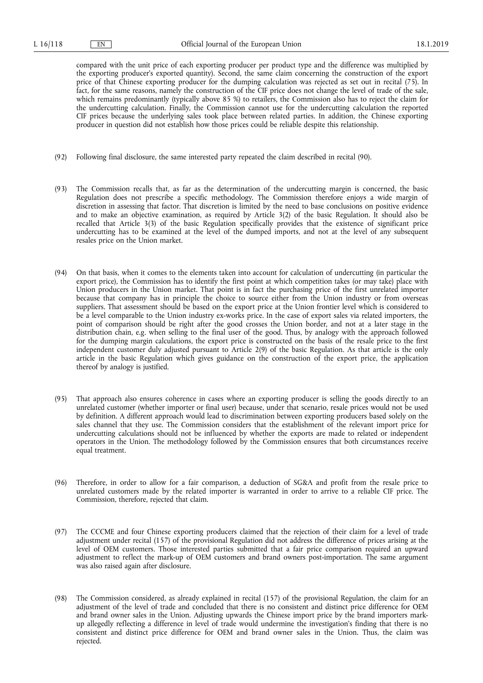compared with the unit price of each exporting producer per product type and the difference was multiplied by the exporting producer's exported quantity). Second, the same claim concerning the construction of the export price of that Chinese exporting producer for the dumping calculation was rejected as set out in recital (75). In fact, for the same reasons, namely the construction of the CIF price does not change the level of trade of the sale, which remains predominantly (typically above 85 %) to retailers, the Commission also has to reject the claim for the undercutting calculation. Finally, the Commission cannot use for the undercutting calculation the reported CIF prices because the underlying sales took place between related parties. In addition, the Chinese exporting producer in question did not establish how those prices could be reliable despite this relationship.

- (92) Following final disclosure, the same interested party repeated the claim described in recital (90).
- (93) The Commission recalls that, as far as the determination of the undercutting margin is concerned, the basic Regulation does not prescribe a specific methodology. The Commission therefore enjoys a wide margin of discretion in assessing that factor. That discretion is limited by the need to base conclusions on positive evidence and to make an objective examination, as required by Article 3(2) of the basic Regulation. It should also be recalled that Article 3(3) of the basic Regulation specifically provides that the existence of significant price undercutting has to be examined at the level of the dumped imports, and not at the level of any subsequent resales price on the Union market.
- (94) On that basis, when it comes to the elements taken into account for calculation of undercutting (in particular the export price), the Commission has to identify the first point at which competition takes (or may take) place with Union producers in the Union market. That point is in fact the purchasing price of the first unrelated importer because that company has in principle the choice to source either from the Union industry or from overseas suppliers. That assessment should be based on the export price at the Union frontier level which is considered to be a level comparable to the Union industry ex-works price. In the case of export sales via related importers, the point of comparison should be right after the good crosses the Union border, and not at a later stage in the distribution chain, e.g. when selling to the final user of the good. Thus, by analogy with the approach followed for the dumping margin calculations, the export price is constructed on the basis of the resale price to the first independent customer duly adjusted pursuant to Article 2(9) of the basic Regulation. As that article is the only article in the basic Regulation which gives guidance on the construction of the export price, the application thereof by analogy is justified.
- (95) That approach also ensures coherence in cases where an exporting producer is selling the goods directly to an unrelated customer (whether importer or final user) because, under that scenario, resale prices would not be used by definition. A different approach would lead to discrimination between exporting producers based solely on the sales channel that they use. The Commission considers that the establishment of the relevant import price for undercutting calculations should not be influenced by whether the exports are made to related or independent operators in the Union. The methodology followed by the Commission ensures that both circumstances receive equal treatment.
- (96) Therefore, in order to allow for a fair comparison, a deduction of SG&A and profit from the resale price to unrelated customers made by the related importer is warranted in order to arrive to a reliable CIF price. The Commission, therefore, rejected that claim.
- (97) The CCCME and four Chinese exporting producers claimed that the rejection of their claim for a level of trade adjustment under recital (157) of the provisional Regulation did not address the difference of prices arising at the level of OEM customers. Those interested parties submitted that a fair price comparison required an upward adjustment to reflect the mark-up of OEM customers and brand owners post-importation. The same argument was also raised again after disclosure.
- (98) The Commission considered, as already explained in recital (157) of the provisional Regulation, the claim for an adjustment of the level of trade and concluded that there is no consistent and distinct price difference for OEM and brand owner sales in the Union. Adjusting upwards the Chinese import price by the brand importers markup allegedly reflecting a difference in level of trade would undermine the investigation's finding that there is no consistent and distinct price difference for OEM and brand owner sales in the Union. Thus, the claim was rejected.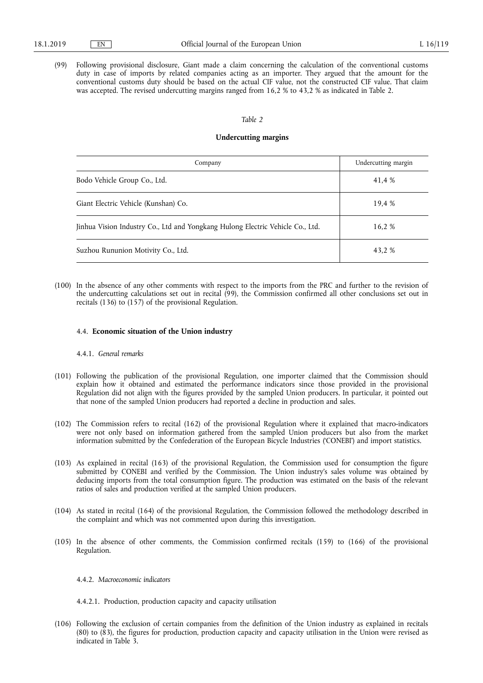(99) Following provisional disclosure, Giant made a claim concerning the calculation of the conventional customs duty in case of imports by related companies acting as an importer. They argued that the amount for the conventional customs duty should be based on the actual CIF value, not the constructed CIF value. That claim was accepted. The revised undercutting margins ranged from 16,2 % to 43,2 % as indicated in Table 2.

### *Table 2*

## **Undercutting margins**

| Company                                                                        | Undercutting margin |
|--------------------------------------------------------------------------------|---------------------|
| Bodo Vehicle Group Co., Ltd.                                                   | 41,4 %              |
| Giant Electric Vehicle (Kunshan) Co.                                           | 19.4 %              |
| Jinhua Vision Industry Co., Ltd and Yongkang Hulong Electric Vehicle Co., Ltd. | 16.2 %              |
| Suzhou Rununion Motivity Co., Ltd.                                             | 43.2 %              |

(100) In the absence of any other comments with respect to the imports from the PRC and further to the revision of the undercutting calculations set out in recital (99), the Commission confirmed all other conclusions set out in recitals (136) to (157) of the provisional Regulation.

### 4.4. **Economic situation of the Union industry**

### 4.4.1. *General remarks*

- (101) Following the publication of the provisional Regulation, one importer claimed that the Commission should explain how it obtained and estimated the performance indicators since those provided in the provisional Regulation did not align with the figures provided by the sampled Union producers. In particular, it pointed out that none of the sampled Union producers had reported a decline in production and sales.
- (102) The Commission refers to recital (162) of the provisional Regulation where it explained that macro-indicators were not only based on information gathered from the sampled Union producers but also from the market information submitted by the Confederation of the European Bicycle Industries ('CONEBI') and import statistics.
- (103) As explained in recital (163) of the provisional Regulation, the Commission used for consumption the figure submitted by CONEBI and verified by the Commission. The Union industry's sales volume was obtained by deducing imports from the total consumption figure. The production was estimated on the basis of the relevant ratios of sales and production verified at the sampled Union producers.
- (104) As stated in recital (164) of the provisional Regulation, the Commission followed the methodology described in the complaint and which was not commented upon during this investigation.
- (105) In the absence of other comments, the Commission confirmed recitals (159) to (166) of the provisional Regulation.

### 4.4.2. *Macroeconomic indicators*

4.4.2.1. Production, production capacity and capacity utilisation

(106) Following the exclusion of certain companies from the definition of the Union industry as explained in recitals (80) to (83), the figures for production, production capacity and capacity utilisation in the Union were revised as indicated in Table 3.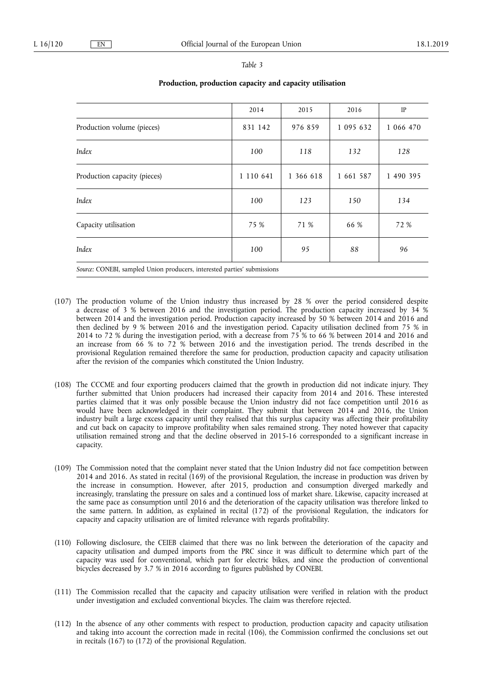|                                                                          | 2014      | 2015      | 2016      | IP        |
|--------------------------------------------------------------------------|-----------|-----------|-----------|-----------|
| Production volume (pieces)                                               | 831 142   | 976 859   | 1 095 632 | 1 066 470 |
| Index                                                                    | 100       | 118       | 132       | 128       |
| Production capacity (pieces)                                             | 1 110 641 | 1 366 618 | 1 661 587 | 1 490 395 |
| Index                                                                    | 100       | 123       | 150       | 134       |
| Capacity utilisation                                                     | 75 %      | 71 %      | 66 %      | 72 %      |
| Index                                                                    | 100       | 95        | 88        | 96        |
| Source: CONEBI, sampled Union producers, interested parties' submissions |           |           |           |           |

# **Production, production capacity and capacity utilisation**

(107) The production volume of the Union industry thus increased by 28 % over the period considered despite a decrease of 3 % between 2016 and the investigation period. The production capacity increased by 34 % between 2014 and the investigation period. Production capacity increased by 50 % between 2014 and 2016 and then declined by 9 % between 2016 and the investigation period. Capacity utilisation declined from 75 % in 2014 to 72 % during the investigation period, with a decrease from 75 % to 66 % between 2014 and 2016 and an increase from 66 % to 72 % between 2016 and the investigation period. The trends described in the provisional Regulation remained therefore the same for production, production capacity and capacity utilisation after the revision of the companies which constituted the Union Industry.

- (108) The CCCME and four exporting producers claimed that the growth in production did not indicate injury. They further submitted that Union producers had increased their capacity from 2014 and 2016. These interested parties claimed that it was only possible because the Union industry did not face competition until 2016 as would have been acknowledged in their complaint. They submit that between 2014 and 2016, the Union industry built a large excess capacity until they realised that this surplus capacity was affecting their profitability and cut back on capacity to improve profitability when sales remained strong. They noted however that capacity utilisation remained strong and that the decline observed in 2015-16 corresponded to a significant increase in capacity.
- (109) The Commission noted that the complaint never stated that the Union Industry did not face competition between 2014 and 2016. As stated in recital (169) of the provisional Regulation, the increase in production was driven by the increase in consumption. However, after 2015, production and consumption diverged markedly and increasingly, translating the pressure on sales and a continued loss of market share. Likewise, capacity increased at the same pace as consumption until 2016 and the deterioration of the capacity utilisation was therefore linked to the same pattern. In addition, as explained in recital (172) of the provisional Regulation, the indicators for capacity and capacity utilisation are of limited relevance with regards profitability.
- (110) Following disclosure, the CEIEB claimed that there was no link between the deterioration of the capacity and capacity utilisation and dumped imports from the PRC since it was difficult to determine which part of the capacity was used for conventional, which part for electric bikes, and since the production of conventional bicycles decreased by 3.7 % in 2016 according to figures published by CONEBI.
- (111) The Commission recalled that the capacity and capacity utilisation were verified in relation with the product under investigation and excluded conventional bicycles. The claim was therefore rejected.
- (112) In the absence of any other comments with respect to production, production capacity and capacity utilisation and taking into account the correction made in recital (106), the Commission confirmed the conclusions set out in recitals (167) to (172) of the provisional Regulation.

# *Table 3*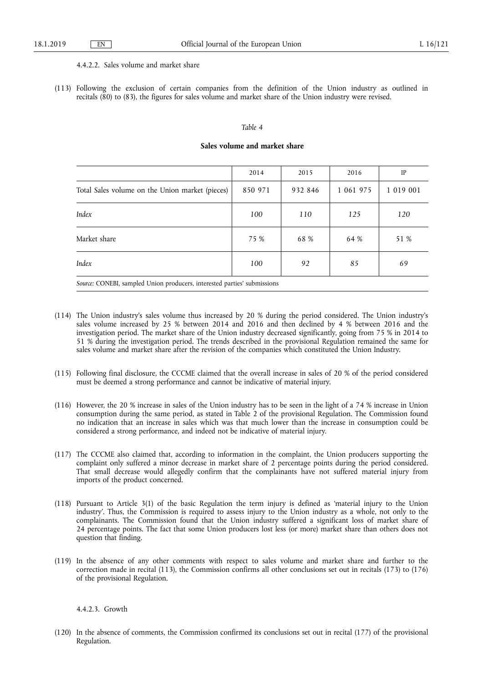## 4.4.2.2. Sales volume and market share

(113) Following the exclusion of certain companies from the definition of the Union industry as outlined in recitals (80) to (83), the figures for sales volume and market share of the Union industry were revised.

#### *Table 4*

# **Sales volume and market share**

|                                                                          | 2014    | 2015    | 2016      | IP        |
|--------------------------------------------------------------------------|---------|---------|-----------|-----------|
| Total Sales volume on the Union market (pieces)                          | 850 971 | 932 846 | 1 061 975 | 1 019 001 |
| Index                                                                    | 100     | 110     | 125       | 120       |
| Market share                                                             | 75 %    | 68 %    | 64 %      | 51 %      |
| Index                                                                    | 100     | 92      | 85        | 69        |
| Source: CONEBI, sampled Union producers, interested parties' submissions |         |         |           |           |

- (114) The Union industry's sales volume thus increased by 20 % during the period considered. The Union industry's sales volume increased by 25 % between 2014 and 2016 and then declined by 4 % between 2016 and the investigation period. The market share of the Union industry decreased significantly, going from 75 % in 2014 to 51 % during the investigation period. The trends described in the provisional Regulation remained the same for sales volume and market share after the revision of the companies which constituted the Union Industry.
- (115) Following final disclosure, the CCCME claimed that the overall increase in sales of 20 % of the period considered must be deemed a strong performance and cannot be indicative of material injury.
- (116) However, the 20 % increase in sales of the Union industry has to be seen in the light of a 74 % increase in Union consumption during the same period, as stated in Table 2 of the provisional Regulation. The Commission found no indication that an increase in sales which was that much lower than the increase in consumption could be considered a strong performance, and indeed not be indicative of material injury.
- (117) The CCCME also claimed that, according to information in the complaint, the Union producers supporting the complaint only suffered a minor decrease in market share of 2 percentage points during the period considered. That small decrease would allegedly confirm that the complainants have not suffered material injury from imports of the product concerned.
- (118) Pursuant to Article 3(1) of the basic Regulation the term injury is defined as 'material injury to the Union industry'. Thus, the Commission is required to assess injury to the Union industry as a whole, not only to the complainants. The Commission found that the Union industry suffered a significant loss of market share of 24 percentage points. The fact that some Union producers lost less (or more) market share than others does not question that finding.
- (119) In the absence of any other comments with respect to sales volume and market share and further to the correction made in recital (113), the Commission confirms all other conclusions set out in recitals (173) to (176) of the provisional Regulation.

### 4.4.2.3. Growth

(120) In the absence of comments, the Commission confirmed its conclusions set out in recital (177) of the provisional Regulation.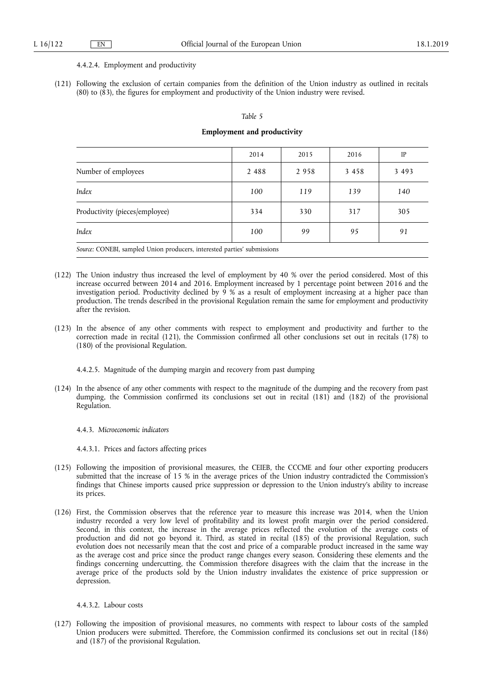#### 4.4.2.4. Employment and productivity

(121) Following the exclusion of certain companies from the definition of the Union industry as outlined in recitals (80) to (83), the figures for employment and productivity of the Union industry were revised.

#### *Table 5*

#### **Employment and productivity**

|                                                                          | 2014    | 2015 | 2016    | IP      |
|--------------------------------------------------------------------------|---------|------|---------|---------|
| Number of employees                                                      | 2 4 8 8 | 2958 | 3 4 5 8 | 3 4 9 3 |
| Index                                                                    | 100     | 119  | 139     | 140     |
| Productivity (pieces/employee)                                           | 334     | 330  | 317     | 305     |
| Index                                                                    | 100     | 99   | 95      | 91      |
| Source: CONEBI, sampled Union producers, interested parties' submissions |         |      |         |         |

- (122) The Union industry thus increased the level of employment by 40 % over the period considered. Most of this increase occurred between 2014 and 2016. Employment increased by 1 percentage point between 2016 and the investigation period. Productivity declined by 9 % as a result of employment increasing at a higher pace than production. The trends described in the provisional Regulation remain the same for employment and productivity after the revision.
- (123) In the absence of any other comments with respect to employment and productivity and further to the correction made in recital (121), the Commission confirmed all other conclusions set out in recitals (178) to (180) of the provisional Regulation.

4.4.2.5. Magnitude of the dumping margin and recovery from past dumping

(124) In the absence of any other comments with respect to the magnitude of the dumping and the recovery from past dumping, the Commission confirmed its conclusions set out in recital (181) and (182) of the provisional Regulation.

4.4.3. *Microeconomic indicators* 

4.4.3.1. Prices and factors affecting prices

- (125) Following the imposition of provisional measures, the CEIEB, the CCCME and four other exporting producers submitted that the increase of 15 % in the average prices of the Union industry contradicted the Commission's findings that Chinese imports caused price suppression or depression to the Union industry's ability to increase its prices.
- (126) First, the Commission observes that the reference year to measure this increase was 2014, when the Union industry recorded a very low level of profitability and its lowest profit margin over the period considered. Second, in this context, the increase in the average prices reflected the evolution of the average costs of production and did not go beyond it. Third, as stated in recital (185) of the provisional Regulation, such evolution does not necessarily mean that the cost and price of a comparable product increased in the same way as the average cost and price since the product range changes every season. Considering these elements and the findings concerning undercutting, the Commission therefore disagrees with the claim that the increase in the average price of the products sold by the Union industry invalidates the existence of price suppression or depression.

4.4.3.2. Labour costs

(127) Following the imposition of provisional measures, no comments with respect to labour costs of the sampled Union producers were submitted. Therefore, the Commission confirmed its conclusions set out in recital (186) and (187) of the provisional Regulation.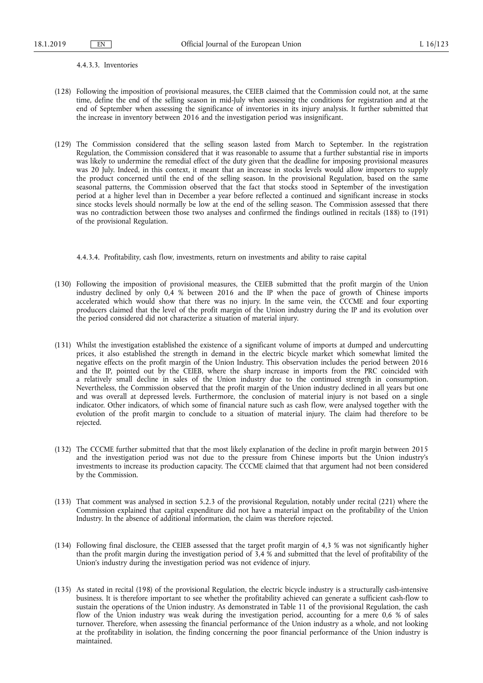#### 4.4.3.3. Inventories

- (128) Following the imposition of provisional measures, the CEIEB claimed that the Commission could not, at the same time, define the end of the selling season in mid-July when assessing the conditions for registration and at the end of September when assessing the significance of inventories in its injury analysis. It further submitted that the increase in inventory between 2016 and the investigation period was insignificant.
- (129) The Commission considered that the selling season lasted from March to September. In the registration Regulation, the Commission considered that it was reasonable to assume that a further substantial rise in imports was likely to undermine the remedial effect of the duty given that the deadline for imposing provisional measures was 20 July. Indeed, in this context, it meant that an increase in stocks levels would allow importers to supply the product concerned until the end of the selling season. In the provisional Regulation, based on the same seasonal patterns, the Commission observed that the fact that stocks stood in September of the investigation period at a higher level than in December a year before reflected a continued and significant increase in stocks since stocks levels should normally be low at the end of the selling season. The Commission assessed that there was no contradiction between those two analyses and confirmed the findings outlined in recitals (188) to (191) of the provisional Regulation.

4.4.3.4. Profitability, cash flow, investments, return on investments and ability to raise capital

- (130) Following the imposition of provisional measures, the CEIEB submitted that the profit margin of the Union industry declined by only 0,4 % between 2016 and the IP when the pace of growth of Chinese imports accelerated which would show that there was no injury. In the same vein, the CCCME and four exporting producers claimed that the level of the profit margin of the Union industry during the IP and its evolution over the period considered did not characterize a situation of material injury.
- (131) Whilst the investigation established the existence of a significant volume of imports at dumped and undercutting prices, it also established the strength in demand in the electric bicycle market which somewhat limited the negative effects on the profit margin of the Union Industry. This observation includes the period between 2016 and the IP, pointed out by the CEIEB, where the sharp increase in imports from the PRC coincided with a relatively small decline in sales of the Union industry due to the continued strength in consumption. Nevertheless, the Commission observed that the profit margin of the Union industry declined in all years but one and was overall at depressed levels. Furthermore, the conclusion of material injury is not based on a single indicator. Other indicators, of which some of financial nature such as cash flow, were analysed together with the evolution of the profit margin to conclude to a situation of material injury. The claim had therefore to be rejected.
- (132) The CCCME further submitted that that the most likely explanation of the decline in profit margin between 2015 and the investigation period was not due to the pressure from Chinese imports but the Union industry's investments to increase its production capacity. The CCCME claimed that that argument had not been considered by the Commission.
- (133) That comment was analysed in section 5.2.3 of the provisional Regulation, notably under recital (221) where the Commission explained that capital expenditure did not have a material impact on the profitability of the Union Industry. In the absence of additional information, the claim was therefore rejected.
- (134) Following final disclosure, the CEIEB assessed that the target profit margin of 4,3 % was not significantly higher than the profit margin during the investigation period of 3,4 % and submitted that the level of profitability of the Union's industry during the investigation period was not evidence of injury.
- (135) As stated in recital (198) of the provisional Regulation, the electric bicycle industry is a structurally cash-intensive business. It is therefore important to see whether the profitability achieved can generate a sufficient cash-flow to sustain the operations of the Union industry. As demonstrated in Table 11 of the provisional Regulation, the cash flow of the Union industry was weak during the investigation period, accounting for a mere 0,6 % of sales turnover. Therefore, when assessing the financial performance of the Union industry as a whole, and not looking at the profitability in isolation, the finding concerning the poor financial performance of the Union industry is maintained.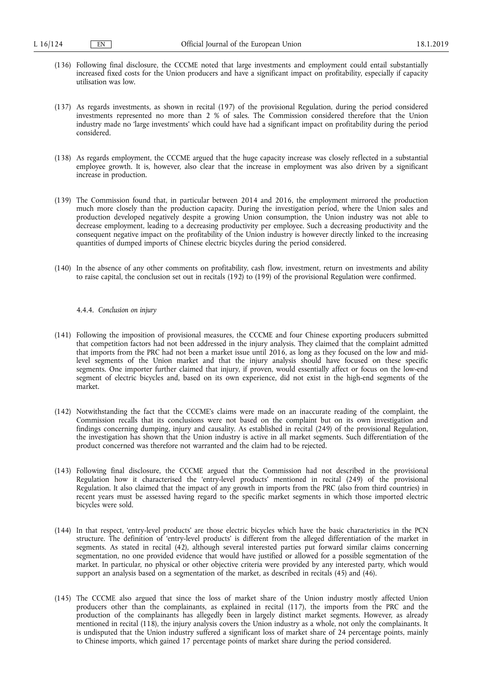- (136) Following final disclosure, the CCCME noted that large investments and employment could entail substantially increased fixed costs for the Union producers and have a significant impact on profitability, especially if capacity utilisation was low.
- (137) As regards investments, as shown in recital (197) of the provisional Regulation, during the period considered investments represented no more than 2 % of sales. The Commission considered therefore that the Union industry made no 'large investments' which could have had a significant impact on profitability during the period considered.
- (138) As regards employment, the CCCME argued that the huge capacity increase was closely reflected in a substantial employee growth. It is, however, also clear that the increase in employment was also driven by a significant increase in production.
- (139) The Commission found that, in particular between 2014 and 2016, the employment mirrored the production much more closely than the production capacity. During the investigation period, where the Union sales and production developed negatively despite a growing Union consumption, the Union industry was not able to decrease employment, leading to a decreasing productivity per employee. Such a decreasing productivity and the consequent negative impact on the profitability of the Union industry is however directly linked to the increasing quantities of dumped imports of Chinese electric bicycles during the period considered.
- (140) In the absence of any other comments on profitability, cash flow, investment, return on investments and ability to raise capital, the conclusion set out in recitals (192) to (199) of the provisional Regulation were confirmed.

# 4.4.4. *Conclusion on injury*

- (141) Following the imposition of provisional measures, the CCCME and four Chinese exporting producers submitted that competition factors had not been addressed in the injury analysis. They claimed that the complaint admitted that imports from the PRC had not been a market issue until 2016, as long as they focused on the low and midlevel segments of the Union market and that the injury analysis should have focused on these specific segments. One importer further claimed that injury, if proven, would essentially affect or focus on the low-end segment of electric bicycles and, based on its own experience, did not exist in the high-end segments of the market.
- (142) Notwithstanding the fact that the CCCME's claims were made on an inaccurate reading of the complaint, the Commission recalls that its conclusions were not based on the complaint but on its own investigation and findings concerning dumping, injury and causality. As established in recital (249) of the provisional Regulation, the investigation has shown that the Union industry is active in all market segments. Such differentiation of the product concerned was therefore not warranted and the claim had to be rejected.
- (143) Following final disclosure, the CCCME argued that the Commission had not described in the provisional Regulation how it characterised the 'entry-level products' mentioned in recital (249) of the provisional Regulation. It also claimed that the impact of any growth in imports from the PRC (also from third countries) in recent years must be assessed having regard to the specific market segments in which those imported electric bicycles were sold.
- (144) In that respect, 'entry-level products' are those electric bicycles which have the basic characteristics in the PCN structure. The definition of 'entry-level products' is different from the alleged differentiation of the market in segments. As stated in recital (42), although several interested parties put forward similar claims concerning segmentation, no one provided evidence that would have justified or allowed for a possible segmentation of the market. In particular, no physical or other objective criteria were provided by any interested party, which would support an analysis based on a segmentation of the market, as described in recitals (45) and (46).
- (145) The CCCME also argued that since the loss of market share of the Union industry mostly affected Union producers other than the complainants, as explained in recital (117), the imports from the PRC and the production of the complainants has allegedly been in largely distinct market segments. However, as already mentioned in recital (118), the injury analysis covers the Union industry as a whole, not only the complainants. It is undisputed that the Union industry suffered a significant loss of market share of 24 percentage points, mainly to Chinese imports, which gained 17 percentage points of market share during the period considered.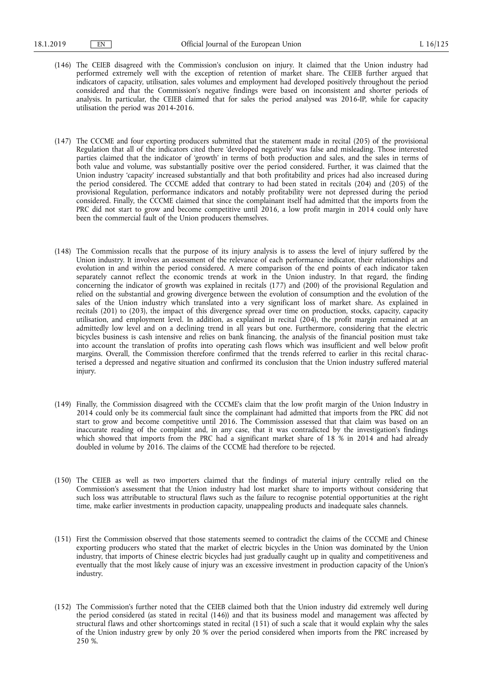- (146) The CEIEB disagreed with the Commission's conclusion on injury. It claimed that the Union industry had performed extremely well with the exception of retention of market share. The CEIEB further argued that indicators of capacity, utilisation, sales volumes and employment had developed positively throughout the period considered and that the Commission's negative findings were based on inconsistent and shorter periods of analysis. In particular, the CEIEB claimed that for sales the period analysed was 2016-IP, while for capacity utilisation the period was 2014-2016.
- (147) The CCCME and four exporting producers submitted that the statement made in recital (205) of the provisional Regulation that all of the indicators cited there 'developed negatively' was false and misleading. Those interested parties claimed that the indicator of 'growth' in terms of both production and sales, and the sales in terms of both value and volume, was substantially positive over the period considered. Further, it was claimed that the Union industry 'capacity' increased substantially and that both profitability and prices had also increased during the period considered. The CCCME added that contrary to had been stated in recitals (204) and (205) of the provisional Regulation, performance indicators and notably profitability were not depressed during the period considered. Finally, the CCCME claimed that since the complainant itself had admitted that the imports from the PRC did not start to grow and become competitive until 2016, a low profit margin in 2014 could only have been the commercial fault of the Union producers themselves.
- (148) The Commission recalls that the purpose of its injury analysis is to assess the level of injury suffered by the Union industry. It involves an assessment of the relevance of each performance indicator, their relationships and evolution in and within the period considered. A mere comparison of the end points of each indicator taken separately cannot reflect the economic trends at work in the Union industry. In that regard, the finding concerning the indicator of growth was explained in recitals (177) and (200) of the provisional Regulation and relied on the substantial and growing divergence between the evolution of consumption and the evolution of the sales of the Union industry which translated into a very significant loss of market share. As explained in recitals (201) to (203), the impact of this divergence spread over time on production, stocks, capacity, capacity utilisation, and employment level. In addition, as explained in recital (204), the profit margin remained at an admittedly low level and on a declining trend in all years but one. Furthermore, considering that the electric bicycles business is cash intensive and relies on bank financing, the analysis of the financial position must take into account the translation of profits into operating cash flows which was insufficient and well below profit margins. Overall, the Commission therefore confirmed that the trends referred to earlier in this recital characterised a depressed and negative situation and confirmed its conclusion that the Union industry suffered material injury.
- (149) Finally, the Commission disagreed with the CCCME's claim that the low profit margin of the Union Industry in 2014 could only be its commercial fault since the complainant had admitted that imports from the PRC did not start to grow and become competitive until 2016. The Commission assessed that that claim was based on an inaccurate reading of the complaint and, in any case, that it was contradicted by the investigation's findings which showed that imports from the PRC had a significant market share of 18 % in 2014 and had already doubled in volume by 2016. The claims of the CCCME had therefore to be rejected.
- (150) The CEIEB as well as two importers claimed that the findings of material injury centrally relied on the Commission's assessment that the Union industry had lost market share to imports without considering that such loss was attributable to structural flaws such as the failure to recognise potential opportunities at the right time, make earlier investments in production capacity, unappealing products and inadequate sales channels.
- (151) First the Commission observed that those statements seemed to contradict the claims of the CCCME and Chinese exporting producers who stated that the market of electric bicycles in the Union was dominated by the Union industry, that imports of Chinese electric bicycles had just gradually caught up in quality and competitiveness and eventually that the most likely cause of injury was an excessive investment in production capacity of the Union's industry.
- (152) The Commission's further noted that the CEIEB claimed both that the Union industry did extremely well during the period considered (as stated in recital (146)) and that its business model and management was affected by structural flaws and other shortcomings stated in recital (151) of such a scale that it would explain why the sales of the Union industry grew by only 20 % over the period considered when imports from the PRC increased by 250 %.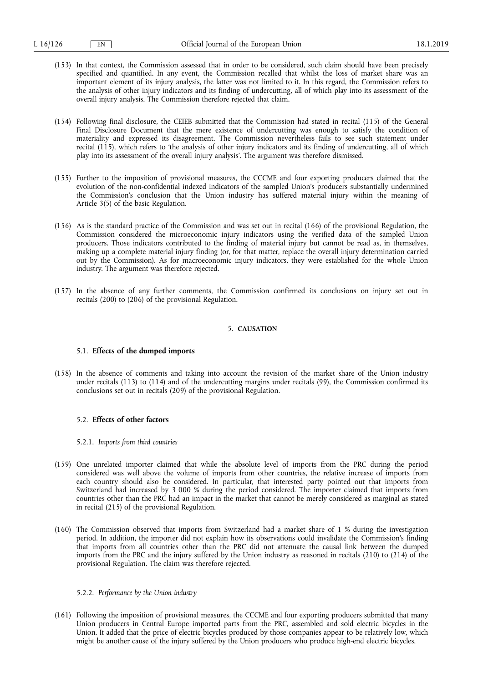- (153) In that context, the Commission assessed that in order to be considered, such claim should have been precisely specified and quantified. In any event, the Commission recalled that whilst the loss of market share was an important element of its injury analysis, the latter was not limited to it. In this regard, the Commission refers to the analysis of other injury indicators and its finding of undercutting, all of which play into its assessment of the overall injury analysis. The Commission therefore rejected that claim.
- (154) Following final disclosure, the CEIEB submitted that the Commission had stated in recital (115) of the General Final Disclosure Document that the mere existence of undercutting was enough to satisfy the condition of materiality and expressed its disagreement. The Commission nevertheless fails to see such statement under recital (115), which refers to 'the analysis of other injury indicators and its finding of undercutting, all of which play into its assessment of the overall injury analysis'. The argument was therefore dismissed.
- (155) Further to the imposition of provisional measures, the CCCME and four exporting producers claimed that the evolution of the non-confidential indexed indicators of the sampled Union's producers substantially undermined the Commission's conclusion that the Union industry has suffered material injury within the meaning of Article 3(5) of the basic Regulation.
- (156) As is the standard practice of the Commission and was set out in recital (166) of the provisional Regulation, the Commission considered the microeconomic injury indicators using the verified data of the sampled Union producers. Those indicators contributed to the finding of material injury but cannot be read as, in themselves, making up a complete material injury finding (or, for that matter, replace the overall injury determination carried out by the Commission). As for macroeconomic injury indicators, they were established for the whole Union industry. The argument was therefore rejected.
- (157) In the absence of any further comments, the Commission confirmed its conclusions on injury set out in recitals (200) to (206) of the provisional Regulation.

### 5. **CAUSATION**

# 5.1. **Effects of the dumped imports**

(158) In the absence of comments and taking into account the revision of the market share of the Union industry under recitals (113) to (114) and of the undercutting margins under recitals (99), the Commission confirmed its conclusions set out in recitals (209) of the provisional Regulation.

### 5.2. **Effects of other factors**

### 5.2.1. *Imports from third countries*

- (159) One unrelated importer claimed that while the absolute level of imports from the PRC during the period considered was well above the volume of imports from other countries, the relative increase of imports from each country should also be considered. In particular, that interested party pointed out that imports from Switzerland had increased by 3 000 % during the period considered. The importer claimed that imports from countries other than the PRC had an impact in the market that cannot be merely considered as marginal as stated in recital (215) of the provisional Regulation.
- (160) The Commission observed that imports from Switzerland had a market share of 1 % during the investigation period. In addition, the importer did not explain how its observations could invalidate the Commission's finding that imports from all countries other than the PRC did not attenuate the causal link between the dumped imports from the PRC and the injury suffered by the Union industry as reasoned in recitals (210) to (214) of the provisional Regulation. The claim was therefore rejected.

### 5.2.2. *Performance by the Union industry*

(161) Following the imposition of provisional measures, the CCCME and four exporting producers submitted that many Union producers in Central Europe imported parts from the PRC, assembled and sold electric bicycles in the Union. It added that the price of electric bicycles produced by those companies appear to be relatively low, which might be another cause of the injury suffered by the Union producers who produce high-end electric bicycles.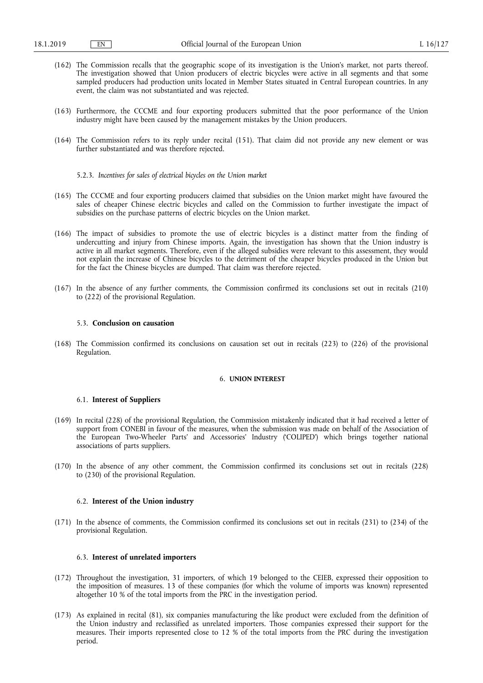- (162) The Commission recalls that the geographic scope of its investigation is the Union's market, not parts thereof. The investigation showed that Union producers of electric bicycles were active in all segments and that some sampled producers had production units located in Member States situated in Central European countries. In any event, the claim was not substantiated and was rejected.
- (163) Furthermore, the CCCME and four exporting producers submitted that the poor performance of the Union industry might have been caused by the management mistakes by the Union producers.
- (164) The Commission refers to its reply under recital (151). That claim did not provide any new element or was further substantiated and was therefore rejected.
	- 5.2.3. *Incentives for sales of electrical bicycles on the Union market*
- (165) The CCCME and four exporting producers claimed that subsidies on the Union market might have favoured the sales of cheaper Chinese electric bicycles and called on the Commission to further investigate the impact of subsidies on the purchase patterns of electric bicycles on the Union market.
- (166) The impact of subsidies to promote the use of electric bicycles is a distinct matter from the finding of undercutting and injury from Chinese imports. Again, the investigation has shown that the Union industry is active in all market segments. Therefore, even if the alleged subsidies were relevant to this assessment, they would not explain the increase of Chinese bicycles to the detriment of the cheaper bicycles produced in the Union but for the fact the Chinese bicycles are dumped. That claim was therefore rejected.
- (167) In the absence of any further comments, the Commission confirmed its conclusions set out in recitals (210) to (222) of the provisional Regulation.

# 5.3. **Conclusion on causation**

(168) The Commission confirmed its conclusions on causation set out in recitals (223) to (226) of the provisional Regulation.

# 6. **UNION INTEREST**

### 6.1. **Interest of Suppliers**

- (169) In recital (228) of the provisional Regulation, the Commission mistakenly indicated that it had received a letter of support from CONEBI in favour of the measures, when the submission was made on behalf of the Association of the European Two-Wheeler Parts' and Accessories' Industry ('COLIPED') which brings together national associations of parts suppliers.
- (170) In the absence of any other comment, the Commission confirmed its conclusions set out in recitals (228) to (230) of the provisional Regulation.

### 6.2. **Interest of the Union industry**

(171) In the absence of comments, the Commission confirmed its conclusions set out in recitals (231) to (234) of the provisional Regulation.

### 6.3. **Interest of unrelated importers**

- (172) Throughout the investigation, 31 importers, of which 19 belonged to the CEIEB, expressed their opposition to the imposition of measures. 13 of these companies (for which the volume of imports was known) represented altogether 10 % of the total imports from the PRC in the investigation period.
- (173) As explained in recital (81), six companies manufacturing the like product were excluded from the definition of the Union industry and reclassified as unrelated importers. Those companies expressed their support for the measures. Their imports represented close to 12 % of the total imports from the PRC during the investigation period.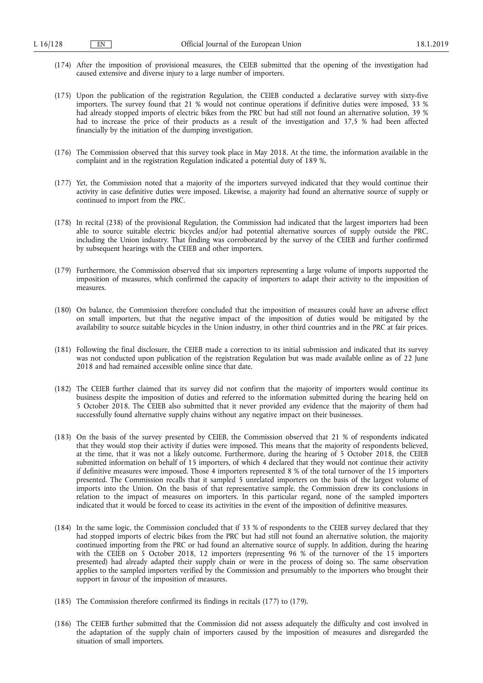- (174) After the imposition of provisional measures, the CEIEB submitted that the opening of the investigation had caused extensive and diverse injury to a large number of importers.
- (175) Upon the publication of the registration Regulation, the CEIEB conducted a declarative survey with sixty-five importers. The survey found that 21 % would not continue operations if definitive duties were imposed, 33 % had already stopped imports of electric bikes from the PRC but had still not found an alternative solution, 39 % had to increase the price of their products as a result of the investigation and 37,5 % had been affected financially by the initiation of the dumping investigation.
- (176) The Commission observed that this survey took place in May 2018. At the time, the information available in the complaint and in the registration Regulation indicated a potential duty of 189 %.
- (177) Yet, the Commission noted that a majority of the importers surveyed indicated that they would continue their activity in case definitive duties were imposed. Likewise, a majority had found an alternative source of supply or continued to import from the PRC.
- (178) In recital (238) of the provisional Regulation, the Commission had indicated that the largest importers had been able to source suitable electric bicycles and/or had potential alternative sources of supply outside the PRC, including the Union industry. That finding was corroborated by the survey of the CEIEB and further confirmed by subsequent hearings with the CEIEB and other importers.
- (179) Furthermore, the Commission observed that six importers representing a large volume of imports supported the imposition of measures, which confirmed the capacity of importers to adapt their activity to the imposition of measures.
- (180) On balance, the Commission therefore concluded that the imposition of measures could have an adverse effect on small importers, but that the negative impact of the imposition of duties would be mitigated by the availability to source suitable bicycles in the Union industry, in other third countries and in the PRC at fair prices.
- (181) Following the final disclosure, the CEIEB made a correction to its initial submission and indicated that its survey was not conducted upon publication of the registration Regulation but was made available online as of 22 June 2018 and had remained accessible online since that date.
- (182) The CEIEB further claimed that its survey did not confirm that the majority of importers would continue its business despite the imposition of duties and referred to the information submitted during the hearing held on 5 October 2018. The CEIEB also submitted that it never provided any evidence that the majority of them had successfully found alternative supply chains without any negative impact on their businesses.
- (183) On the basis of the survey presented by CEIEB, the Commission observed that 21 % of respondents indicated that they would stop their activity if duties were imposed. This means that the majority of respondents believed, at the time, that it was not a likely outcome. Furthermore, during the hearing of 5 October 2018, the CEIEB submitted information on behalf of 15 importers, of which 4 declared that they would not continue their activity if definitive measures were imposed. Those 4 importers represented 8 % of the total turnover of the 15 importers presented. The Commission recalls that it sampled 5 unrelated importers on the basis of the largest volume of imports into the Union. On the basis of that representative sample, the Commission drew its conclusions in relation to the impact of measures on importers. In this particular regard, none of the sampled importers indicated that it would be forced to cease its activities in the event of the imposition of definitive measures.
- (184) In the same logic, the Commission concluded that if 33 % of respondents to the CEIEB survey declared that they had stopped imports of electric bikes from the PRC but had still not found an alternative solution, the majority continued importing from the PRC or had found an alternative source of supply. In addition, during the hearing with the CEIEB on 5 October 2018, 12 importers (representing 96 % of the turnover of the 15 importers presented) had already adapted their supply chain or were in the process of doing so. The same observation applies to the sampled importers verified by the Commission and presumably to the importers who brought their support in favour of the imposition of measures.
- (185) The Commission therefore confirmed its findings in recitals (177) to (179).
- (186) The CEIEB further submitted that the Commission did not assess adequately the difficulty and cost involved in the adaptation of the supply chain of importers caused by the imposition of measures and disregarded the situation of small importers.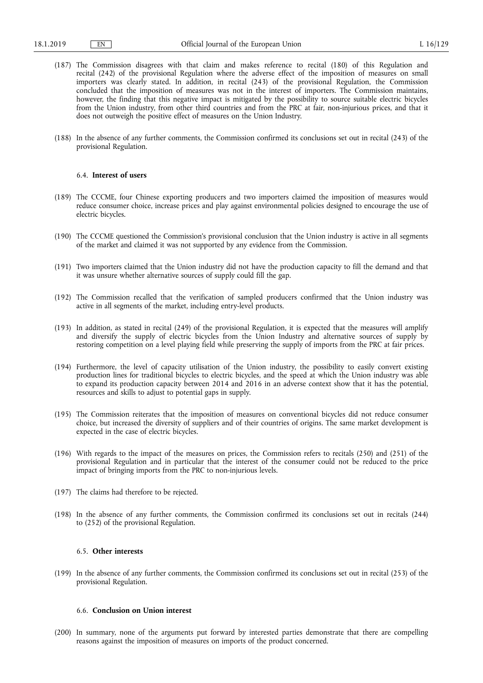- (187) The Commission disagrees with that claim and makes reference to recital (180) of this Regulation and recital (242) of the provisional Regulation where the adverse effect of the imposition of measures on small importers was clearly stated. In addition, in recital (243) of the provisional Regulation, the Commission concluded that the imposition of measures was not in the interest of importers. The Commission maintains, however, the finding that this negative impact is mitigated by the possibility to source suitable electric bicycles from the Union industry, from other third countries and from the PRC at fair, non-injurious prices, and that it does not outweigh the positive effect of measures on the Union Industry.
- (188) In the absence of any further comments, the Commission confirmed its conclusions set out in recital (243) of the provisional Regulation.

### 6.4. **Interest of users**

- (189) The CCCME, four Chinese exporting producers and two importers claimed the imposition of measures would reduce consumer choice, increase prices and play against environmental policies designed to encourage the use of electric bicycles.
- (190) The CCCME questioned the Commission's provisional conclusion that the Union industry is active in all segments of the market and claimed it was not supported by any evidence from the Commission.
- (191) Two importers claimed that the Union industry did not have the production capacity to fill the demand and that it was unsure whether alternative sources of supply could fill the gap.
- (192) The Commission recalled that the verification of sampled producers confirmed that the Union industry was active in all segments of the market, including entry-level products.
- (193) In addition, as stated in recital (249) of the provisional Regulation, it is expected that the measures will amplify and diversify the supply of electric bicycles from the Union Industry and alternative sources of supply by restoring competition on a level playing field while preserving the supply of imports from the PRC at fair prices.
- (194) Furthermore, the level of capacity utilisation of the Union industry, the possibility to easily convert existing production lines for traditional bicycles to electric bicycles, and the speed at which the Union industry was able to expand its production capacity between 2014 and 2016 in an adverse context show that it has the potential, resources and skills to adjust to potential gaps in supply.
- (195) The Commission reiterates that the imposition of measures on conventional bicycles did not reduce consumer choice, but increased the diversity of suppliers and of their countries of origins. The same market development is expected in the case of electric bicycles.
- (196) With regards to the impact of the measures on prices, the Commission refers to recitals (250) and (251) of the provisional Regulation and in particular that the interest of the consumer could not be reduced to the price impact of bringing imports from the PRC to non-injurious levels.
- (197) The claims had therefore to be rejected.
- (198) In the absence of any further comments, the Commission confirmed its conclusions set out in recitals (244) to (252) of the provisional Regulation.

## 6.5. **Other interests**

(199) In the absence of any further comments, the Commission confirmed its conclusions set out in recital (253) of the provisional Regulation.

## 6.6. **Conclusion on Union interest**

(200) In summary, none of the arguments put forward by interested parties demonstrate that there are compelling reasons against the imposition of measures on imports of the product concerned.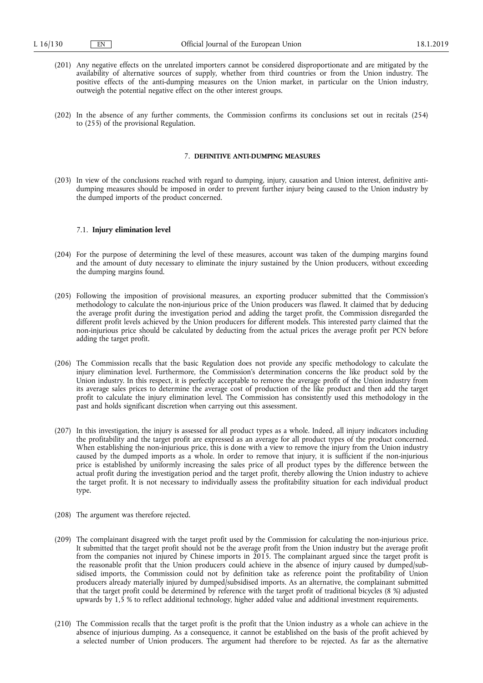- (201) Any negative effects on the unrelated importers cannot be considered disproportionate and are mitigated by the availability of alternative sources of supply, whether from third countries or from the Union industry. The positive effects of the anti-dumping measures on the Union market, in particular on the Union industry, outweigh the potential negative effect on the other interest groups.
- (202) In the absence of any further comments, the Commission confirms its conclusions set out in recitals (254) to (255) of the provisional Regulation.

#### 7. **DEFINITIVE ANTI-DUMPING MEASURES**

(203) In view of the conclusions reached with regard to dumping, injury, causation and Union interest, definitive antidumping measures should be imposed in order to prevent further injury being caused to the Union industry by the dumped imports of the product concerned.

### 7.1. **Injury elimination level**

- (204) For the purpose of determining the level of these measures, account was taken of the dumping margins found and the amount of duty necessary to eliminate the injury sustained by the Union producers, without exceeding the dumping margins found.
- (205) Following the imposition of provisional measures, an exporting producer submitted that the Commission's methodology to calculate the non-injurious price of the Union producers was flawed. It claimed that by deducing the average profit during the investigation period and adding the target profit, the Commission disregarded the different profit levels achieved by the Union producers for different models. This interested party claimed that the non-injurious price should be calculated by deducting from the actual prices the average profit per PCN before adding the target profit.
- (206) The Commission recalls that the basic Regulation does not provide any specific methodology to calculate the injury elimination level. Furthermore, the Commission's determination concerns the like product sold by the Union industry. In this respect, it is perfectly acceptable to remove the average profit of the Union industry from its average sales prices to determine the average cost of production of the like product and then add the target profit to calculate the injury elimination level. The Commission has consistently used this methodology in the past and holds significant discretion when carrying out this assessment.
- (207) In this investigation, the injury is assessed for all product types as a whole. Indeed, all injury indicators including the profitability and the target profit are expressed as an average for all product types of the product concerned. When establishing the non-injurious price, this is done with a view to remove the injury from the Union industry caused by the dumped imports as a whole. In order to remove that injury, it is sufficient if the non-injurious price is established by uniformly increasing the sales price of all product types by the difference between the actual profit during the investigation period and the target profit, thereby allowing the Union industry to achieve the target profit. It is not necessary to individually assess the profitability situation for each individual product type.
- (208) The argument was therefore rejected.
- (209) The complainant disagreed with the target profit used by the Commission for calculating the non-injurious price. It submitted that the target profit should not be the average profit from the Union industry but the average profit from the companies not injured by Chinese imports in 2015. The complainant argued since the target profit is the reasonable profit that the Union producers could achieve in the absence of injury caused by dumped/subsidised imports, the Commission could not by definition take as reference point the profitability of Union producers already materially injured by dumped/subsidised imports. As an alternative, the complainant submitted that the target profit could be determined by reference with the target profit of traditional bicycles (8 %) adjusted upwards by 1,5 % to reflect additional technology, higher added value and additional investment requirements.
- (210) The Commission recalls that the target profit is the profit that the Union industry as a whole can achieve in the absence of injurious dumping. As a consequence, it cannot be established on the basis of the profit achieved by a selected number of Union producers. The argument had therefore to be rejected. As far as the alternative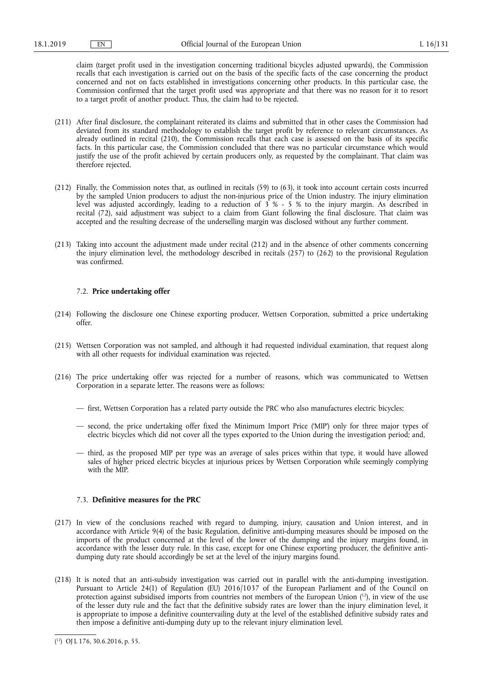claim (target profit used in the investigation concerning traditional bicycles adjusted upwards), the Commission recalls that each investigation is carried out on the basis of the specific facts of the case concerning the product concerned and not on facts established in investigations concerning other products. In this particular case, the Commission confirmed that the target profit used was appropriate and that there was no reason for it to resort to a target profit of another product. Thus, the claim had to be rejected.

- (211) After final disclosure, the complainant reiterated its claims and submitted that in other cases the Commission had deviated from its standard methodology to establish the target profit by reference to relevant circumstances. As already outlined in recital (210), the Commission recalls that each case is assessed on the basis of its specific facts. In this particular case, the Commission concluded that there was no particular circumstance which would justify the use of the profit achieved by certain producers only, as requested by the complainant. That claim was therefore rejected.
- (212) Finally, the Commission notes that, as outlined in recitals (59) to (63), it took into account certain costs incurred by the sampled Union producers to adjust the non-injurious price of the Union industry. The injury elimination level was adjusted accordingly, leading to a reduction of 3 % - 5 % to the injury margin. As described in recital (72), said adjustment was subject to a claim from Giant following the final disclosure. That claim was accepted and the resulting decrease of the underselling margin was disclosed without any further comment.
- (213) Taking into account the adjustment made under recital (212) and in the absence of other comments concerning the injury elimination level, the methodology described in recitals (257) to (262) to the provisional Regulation was confirmed.

### 7.2. **Price undertaking offer**

- (214) Following the disclosure one Chinese exporting producer, Wettsen Corporation, submitted a price undertaking offer.
- (215) Wettsen Corporation was not sampled, and although it had requested individual examination, that request along with all other requests for individual examination was rejected.
- (216) The price undertaking offer was rejected for a number of reasons, which was communicated to Wettsen Corporation in a separate letter. The reasons were as follows:
	- first, Wettsen Corporation has a related party outside the PRC who also manufactures electric bicycles;
	- second, the price undertaking offer fixed the Minimum Import Price ('MIP') only for three major types of electric bicycles which did not cover all the types exported to the Union during the investigation period; and,
	- third, as the proposed MIP per type was an average of sales prices within that type, it would have allowed sales of higher priced electric bicycles at injurious prices by Wettsen Corporation while seemingly complying with the MIP.

### 7.3. **Definitive measures for the PRC**

- (217) In view of the conclusions reached with regard to dumping, injury, causation and Union interest, and in accordance with Article 9(4) of the basic Regulation, definitive anti-dumping measures should be imposed on the imports of the product concerned at the level of the lower of the dumping and the injury margins found, in accordance with the lesser duty rule. In this case, except for one Chinese exporting producer, the definitive antidumping duty rate should accordingly be set at the level of the injury margins found.
- (218) It is noted that an anti-subsidy investigation was carried out in parallel with the anti-dumping investigation. Pursuant to Article 24(1) of Regulation (EU) 2016/1037 of the European Parliament and of the Council on protection against subsidised imports from countries not members of the European Union ( 12), in view of the use of the lesser duty rule and the fact that the definitive subsidy rates are lower than the injury elimination level, it is appropriate to impose a definitive countervailing duty at the level of the established definitive subsidy rates and then impose a definitive anti-dumping duty up to the relevant injury elimination level.

<sup>(</sup> 12) OJ L 176, 30.6.2016, p. 55.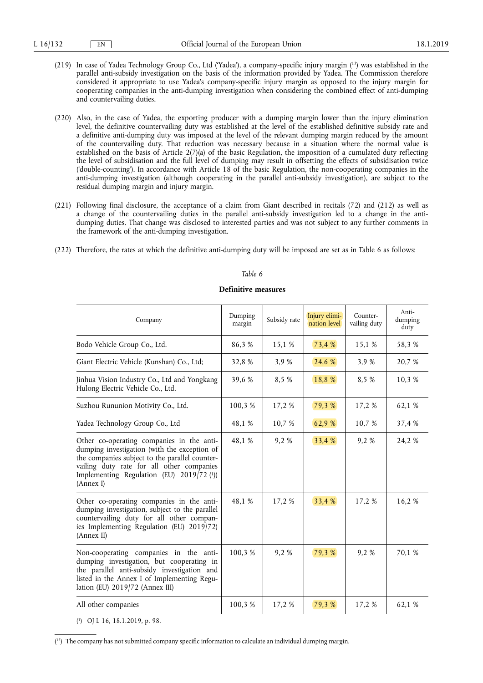- (219) In case of Yadea Technology Group Co., Ltd ('Yadea'), a company-specific injury margin ( 13) was established in the parallel anti-subsidy investigation on the basis of the information provided by Yadea. The Commission therefore considered it appropriate to use Yadea's company-specific injury margin as opposed to the injury margin for cooperating companies in the anti-dumping investigation when considering the combined effect of anti-dumping and countervailing duties.
- (220) Also, in the case of Yadea, the exporting producer with a dumping margin lower than the injury elimination level, the definitive countervailing duty was established at the level of the established definitive subsidy rate and a definitive anti-dumping duty was imposed at the level of the relevant dumping margin reduced by the amount of the countervailing duty. That reduction was necessary because in a situation where the normal value is established on the basis of Article 2(7)(a) of the basic Regulation, the imposition of a cumulated duty reflecting the level of subsidisation and the full level of dumping may result in offsetting the effects of subsidisation twice ('double-counting'). In accordance with Article 18 of the basic Regulation, the non-cooperating companies in the anti-dumping investigation (although cooperating in the parallel anti-subsidy investigation), are subject to the residual dumping margin and injury margin.
- (221) Following final disclosure, the acceptance of a claim from Giant described in recitals (72) and (212) as well as a change of the countervailing duties in the parallel anti-subsidy investigation led to a change in the antidumping duties. That change was disclosed to interested parties and was not subject to any further comments in the framework of the anti-dumping investigation.
- (222) Therefore, the rates at which the definitive anti-dumping duty will be imposed are set as in Table 6 as follows:

# Company Dumping<br>margin Subsidy rate  $\boxed{\frac{\text{Injury elimi}}{\text{action level}}}$ nation level Countervailing duty Antidumping duty Bodo Vehicle Group Co., Ltd. 186,3 % 15,1 % 73,4 % 15,1 % 58,3 % Giant Electric Vehicle (Kunshan) Co., Ltd; 32,8 % 3,9 % 24,6 % 3,9 % 20,7 % Jinhua Vision Industry Co., Ltd and Yongkang Hulong Electric Vehicle Co., Ltd. 39.6 % 8.5 % 18.8 % 8.5 % 10.3 % Suzhou Rununion Motivity Co., Ltd. 100,3 % 17,2 % 79,3 % 17,2 % 62,1 % Yadea Technology Group Co., Ltd 48,1 % 10,7 % 62,9 % 10,7 % 37,4 % Other co-operating companies in the antidumping investigation (with the exception of the companies subject to the parallel countervailing duty rate for all other companies Implementing Regulation (EU) 2019/72 ( 1)) (Annex I) 48,1 % 9,2 % 33,4 % 9,2 % 24,2 % Other co-operating companies in the antidumping investigation, subject to the parallel countervailing duty for all other companies Implementing Regulation (EU) 2019/72) (Annex II) 48,1 % 17,2 % 33,4 % 17,2 % 16,2 % Non-cooperating companies in the antidumping investigation, but cooperating in the parallel anti-subsidy investigation and listed in the Annex I of Implementing Regulation (EU) 2019/72 (Annex III) 100.3 % 9.2 % 79.3 % 9.2 % 70.1 % All other companies 100,3 % 17,2 % 79,3 % 17,2 % 62,1 % ( 1) OJ L 16, 18.1.2019, p. 98.

### **Definitive measures**

*Table 6* 

( 13) The company has not submitted company specific information to calculate an individual dumping margin.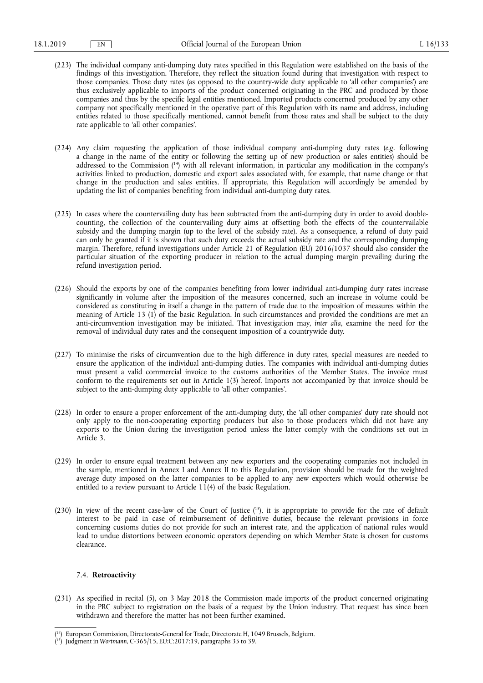- (223) The individual company anti-dumping duty rates specified in this Regulation were established on the basis of the findings of this investigation. Therefore, they reflect the situation found during that investigation with respect to those companies. Those duty rates (as opposed to the country-wide duty applicable to 'all other companies') are thus exclusively applicable to imports of the product concerned originating in the PRC and produced by those companies and thus by the specific legal entities mentioned. Imported products concerned produced by any other company not specifically mentioned in the operative part of this Regulation with its name and address, including entities related to those specifically mentioned, cannot benefit from those rates and shall be subject to the duty rate applicable to 'all other companies'.
- (224) Any claim requesting the application of those individual company anti-dumping duty rates (*e.g.* following a change in the name of the entity or following the setting up of new production or sales entities) should be addressed to the Commission ( 14) with all relevant information, in particular any modification in the company's activities linked to production, domestic and export sales associated with, for example, that name change or that change in the production and sales entities. If appropriate, this Regulation will accordingly be amended by updating the list of companies benefiting from individual anti-dumping duty rates.
- (225) In cases where the countervailing duty has been subtracted from the anti-dumping duty in order to avoid doublecounting, the collection of the countervailing duty aims at offsetting both the effects of the countervailable subsidy and the dumping margin (up to the level of the subsidy rate). As a consequence, a refund of duty paid can only be granted if it is shown that such duty exceeds the actual subsidy rate and the corresponding dumping margin. Therefore, refund investigations under Article 21 of Regulation (EU) 2016/1037 should also consider the particular situation of the exporting producer in relation to the actual dumping margin prevailing during the refund investigation period.
- (226) Should the exports by one of the companies benefiting from lower individual anti-dumping duty rates increase significantly in volume after the imposition of the measures concerned, such an increase in volume could be considered as constituting in itself a change in the pattern of trade due to the imposition of measures within the meaning of Article 13 (1) of the basic Regulation. In such circumstances and provided the conditions are met an anti-circumvention investigation may be initiated. That investigation may, *inter alia*, examine the need for the removal of individual duty rates and the consequent imposition of a countrywide duty.
- (227) To minimise the risks of circumvention due to the high difference in duty rates, special measures are needed to ensure the application of the individual anti-dumping duties. The companies with individual anti-dumping duties must present a valid commercial invoice to the customs authorities of the Member States. The invoice must conform to the requirements set out in Article 1(3) hereof. Imports not accompanied by that invoice should be subject to the anti-dumping duty applicable to 'all other companies'.
- (228) In order to ensure a proper enforcement of the anti-dumping duty, the 'all other companies' duty rate should not only apply to the non-cooperating exporting producers but also to those producers which did not have any exports to the Union during the investigation period unless the latter comply with the conditions set out in Article 3.
- (229) In order to ensure equal treatment between any new exporters and the cooperating companies not included in the sample, mentioned in Annex I and Annex II to this Regulation, provision should be made for the weighted average duty imposed on the latter companies to be applied to any new exporters which would otherwise be entitled to a review pursuant to Article  $11(4)$  of the basic Regulation.
- (230) In view of the recent case-law of the Court of Justice ( 15), it is appropriate to provide for the rate of default interest to be paid in case of reimbursement of definitive duties, because the relevant provisions in force concerning customs duties do not provide for such an interest rate, and the application of national rules would lead to undue distortions between economic operators depending on which Member State is chosen for customs clearance.

# 7.4. **Retroactivity**

(231) As specified in recital (5), on 3 May 2018 the Commission made imports of the product concerned originating in the PRC subject to registration on the basis of a request by the Union industry. That request has since been withdrawn and therefore the matter has not been further examined.

<sup>(</sup> 14) European Commission, Directorate-General for Trade, Directorate H, 1049 Brussels, Belgium.

<sup>(</sup> 15) Judgment in *Wortmann*, C-365/15, EU:C:2017:19, paragraphs 35 to 39.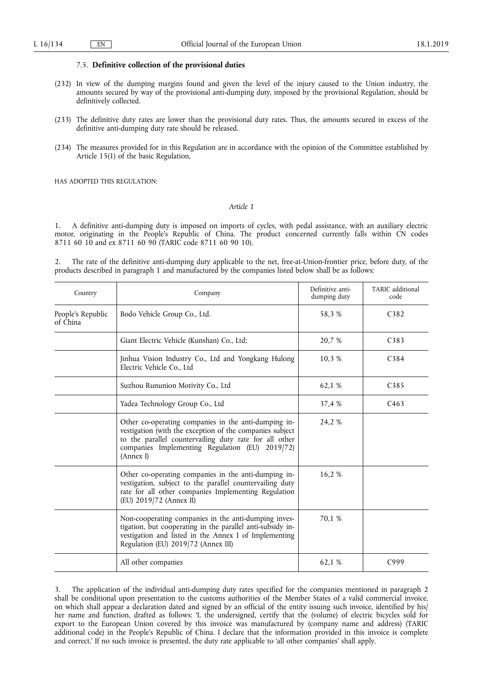#### 7.5. **Definitive collection of the provisional duties**

- (232) In view of the dumping margins found and given the level of the injury caused to the Union industry, the amounts secured by way of the provisional anti-dumping duty, imposed by the provisional Regulation, should be definitively collected.
- (233) The definitive duty rates are lower than the provisional duty rates. Thus, the amounts secured in excess of the definitive anti-dumping duty rate should be released.
- (234) The measures provided for in this Regulation are in accordance with the opinion of the Committee established by Article 15(1) of the basic Regulation,

HAS ADOPTED THIS REGULATION:

### *Article 1*

1. A definitive anti-dumping duty is imposed on imports of cycles, with pedal assistance, with an auxiliary electric motor, originating in the People's Republic of China. The product concerned currently falls within CN codes 8711 60 10 and ex 8711 60 90 (TARIC code 8711 60 90 10).

2. The rate of the definitive anti-dumping duty applicable to the net, free-at-Union-frontier price, before duty, of the products described in paragraph 1 and manufactured by the companies listed below shall be as follows:

| Country                       | Company                                                                                                                                                                                                                                    | Definitive anti-<br>dumping duty | TARIC additional<br>code |
|-------------------------------|--------------------------------------------------------------------------------------------------------------------------------------------------------------------------------------------------------------------------------------------|----------------------------------|--------------------------|
| People's Republic<br>of China | Bodo Vehicle Group Co., Ltd.                                                                                                                                                                                                               | 58.3 %                           | C <sub>3</sub> 82        |
|                               | Giant Electric Vehicle (Kunshan) Co., Ltd;                                                                                                                                                                                                 | 20,7 %                           | C <sub>383</sub>         |
|                               | Jinhua Vision Industry Co., Ltd and Yongkang Hulong<br>Electric Vehicle Co., Ltd                                                                                                                                                           | 10,3 %                           | C384                     |
|                               | Suzhou Rununion Motivity Co., Ltd                                                                                                                                                                                                          | 62,1 %                           | C385                     |
|                               | Yadea Technology Group Co., Ltd                                                                                                                                                                                                            | 37,4 %                           | C463                     |
|                               | Other co-operating companies in the anti-dumping in-<br>vestigation (with the exception of the companies subject<br>to the parallel countervailing duty rate for all other<br>companies Implementing Regulation (EU) 2019/72)<br>(Annex I) | 24,2 %                           |                          |
|                               | Other co-operating companies in the anti-dumping in-<br>vestigation, subject to the parallel countervailing duty<br>rate for all other companies Implementing Regulation<br>(EU) 2019/72 (Annex II)                                        | 16,2 %                           |                          |
|                               | Non-cooperating companies in the anti-dumping inves-<br>tigation, but cooperating in the parallel anti-subsidy in-<br>vestigation and listed in the Annex I of Implementing<br>Regulation (EU) 2019/72 (Annex III)                         | 70.1 %                           |                          |
|                               | All other companies                                                                                                                                                                                                                        | 62,1 %                           | C999                     |

The application of the individual anti-dumping duty rates specified for the companies mentioned in paragraph 2 shall be conditional upon presentation to the customs authorities of the Member States of a valid commercial invoice, on which shall appear a declaration dated and signed by an official of the entity issuing such invoice, identified by his/ her name and function, drafted as follows: 'I, the undersigned, certify that the (volume) of electric bicycles sold for export to the European Union covered by this invoice was manufactured by (company name and address) (TARIC additional code) in the People's Republic of China. I declare that the information provided in this invoice is complete and correct.' If no such invoice is presented, the duty rate applicable to 'all other companies' shall apply.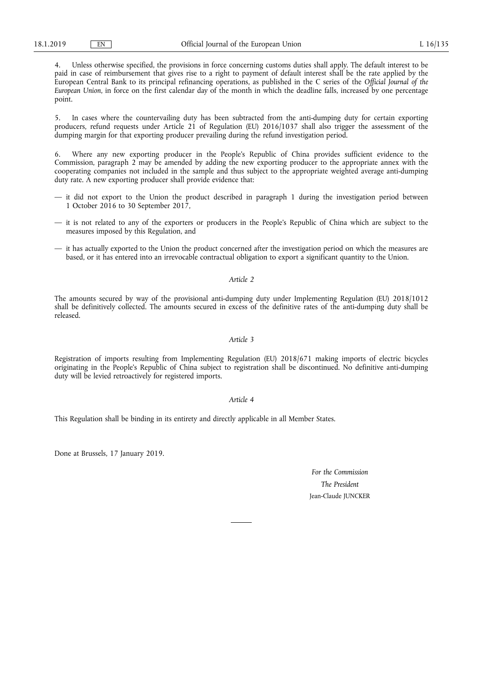4. Unless otherwise specified, the provisions in force concerning customs duties shall apply. The default interest to be paid in case of reimbursement that gives rise to a right to payment of default interest shall be the rate applied by the European Central Bank to its principal refinancing operations, as published in the C series of the *Official Journal of the European Union*, in force on the first calendar day of the month in which the deadline falls, increased by one percentage point.

5. In cases where the countervailing duty has been subtracted from the anti-dumping duty for certain exporting producers, refund requests under Article 21 of Regulation (EU) 2016/1037 shall also trigger the assessment of the dumping margin for that exporting producer prevailing during the refund investigation period.

6. Where any new exporting producer in the People's Republic of China provides sufficient evidence to the Commission, paragraph 2 may be amended by adding the new exporting producer to the appropriate annex with the cooperating companies not included in the sample and thus subject to the appropriate weighted average anti-dumping duty rate. A new exporting producer shall provide evidence that:

- it did not export to the Union the product described in paragraph 1 during the investigation period between 1 October 2016 to 30 September 2017,
- it is not related to any of the exporters or producers in the People's Republic of China which are subject to the measures imposed by this Regulation, and
- it has actually exported to the Union the product concerned after the investigation period on which the measures are based, or it has entered into an irrevocable contractual obligation to export a significant quantity to the Union.

#### *Article 2*

The amounts secured by way of the provisional anti-dumping duty under Implementing Regulation (EU) 2018/1012 shall be definitively collected. The amounts secured in excess of the definitive rates of the anti-dumping duty shall be released.

### *Article 3*

Registration of imports resulting from Implementing Regulation (EU) 2018/671 making imports of electric bicycles originating in the People's Republic of China subject to registration shall be discontinued. No definitive anti-dumping duty will be levied retroactively for registered imports.

#### *Article 4*

This Regulation shall be binding in its entirety and directly applicable in all Member States.

Done at Brussels, 17 January 2019.

*For the Commission The President*  Jean-Claude JUNCKER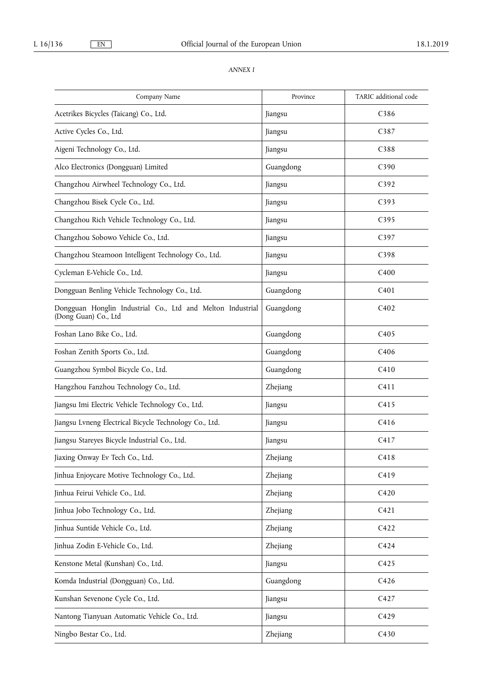# *ANNEX I*

| Company Name                                                                       | Province  | TARIC additional code |
|------------------------------------------------------------------------------------|-----------|-----------------------|
| Acetrikes Bicycles (Taicang) Co., Ltd.                                             | Jiangsu   | C386                  |
| Active Cycles Co., Ltd.                                                            | Jiangsu   | C387                  |
| Aigeni Technology Co., Ltd.                                                        | Jiangsu   | C388                  |
| Alco Electronics (Dongguan) Limited                                                | Guangdong | C390                  |
| Changzhou Airwheel Technology Co., Ltd.                                            | Jiangsu   | C <sub>392</sub>      |
| Changzhou Bisek Cycle Co., Ltd.                                                    | Jiangsu   | C393                  |
| Changzhou Rich Vehicle Technology Co., Ltd.                                        | Jiangsu   | C395                  |
| Changzhou Sobowo Vehicle Co., Ltd.                                                 | Jiangsu   | C397                  |
| Changzhou Steamoon Intelligent Technology Co., Ltd.                                | Jiangsu   | C398                  |
| Cycleman E-Vehicle Co., Ltd.                                                       | Jiangsu   | C <sub>400</sub>      |
| Dongguan Benling Vehicle Technology Co., Ltd.                                      | Guangdong | C <sub>401</sub>      |
| Dongguan Honglin Industrial Co., Ltd and Melton Industrial<br>(Dong Guan) Co., Ltd | Guangdong | C402                  |
| Foshan Lano Bike Co., Ltd.                                                         | Guangdong | C405                  |
| Foshan Zenith Sports Co., Ltd.                                                     | Guangdong | C406                  |
| Guangzhou Symbol Bicycle Co., Ltd.                                                 | Guangdong | C410                  |
| Hangzhou Fanzhou Technology Co., Ltd.                                              | Zhejiang  | C411                  |
| Jiangsu Imi Electric Vehicle Technology Co., Ltd.                                  | Jiangsu   | C415                  |
| Jiangsu Lvneng Electrical Bicycle Technology Co., Ltd.                             | Jiangsu   | C416                  |
| Jiangsu Stareyes Bicycle Industrial Co., Ltd.                                      | Jiangsu   | C417                  |
| Jiaxing Onway Ev Tech Co., Ltd.                                                    | Zhejiang  | C418                  |
| Jinhua Enjoycare Motive Technology Co., Ltd.                                       | Zhejiang  | C419                  |
| Jinhua Feirui Vehicle Co., Ltd.                                                    | Zhejiang  | C420                  |
| Jinhua Jobo Technology Co., Ltd.                                                   | Zhejiang  | C421                  |
| Jinhua Suntide Vehicle Co., Ltd.                                                   | Zhejiang  | C422                  |
| Jinhua Zodin E-Vehicle Co., Ltd.                                                   | Zhejiang  | C424                  |
| Kenstone Metal (Kunshan) Co., Ltd.                                                 | Jiangsu   | C425                  |
| Komda Industrial (Dongguan) Co., Ltd.                                              | Guangdong | C426                  |
| Kunshan Sevenone Cycle Co., Ltd.                                                   | Jiangsu   | C427                  |
| Nantong Tianyuan Automatic Vehicle Co., Ltd.                                       | Jiangsu   | C429                  |
| Ningbo Bestar Co., Ltd.                                                            | Zhejiang  | C430                  |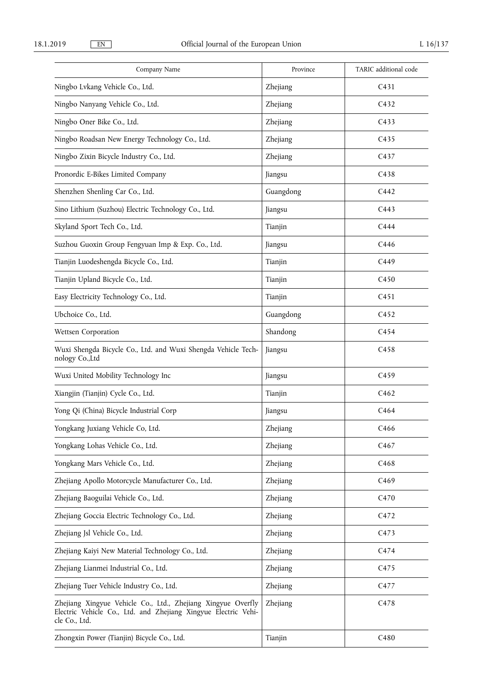| Company Name                                                                                                                                    | Province  | TARIC additional code |
|-------------------------------------------------------------------------------------------------------------------------------------------------|-----------|-----------------------|
| Ningbo Lvkang Vehicle Co., Ltd.                                                                                                                 | Zhejiang  | C431                  |
| Ningbo Nanyang Vehicle Co., Ltd.                                                                                                                | Zhejiang  | C <sub>432</sub>      |
| Ningbo Oner Bike Co., Ltd.                                                                                                                      | Zhejiang  | C <sub>433</sub>      |
| Ningbo Roadsan New Energy Technology Co., Ltd.                                                                                                  | Zhejiang  | C <sub>435</sub>      |
| Ningbo Zixin Bicycle Industry Co., Ltd.                                                                                                         | Zhejiang  | C437                  |
| Pronordic E-Bikes Limited Company                                                                                                               | Jiangsu   | C438                  |
| Shenzhen Shenling Car Co., Ltd.                                                                                                                 | Guangdong | C442                  |
| Sino Lithium (Suzhou) Electric Technology Co., Ltd.                                                                                             | Jiangsu   | C443                  |
| Skyland Sport Tech Co., Ltd.                                                                                                                    | Tianjin   | C444                  |
| Suzhou Guoxin Group Fengyuan Imp & Exp. Co., Ltd.                                                                                               | Jiangsu   | C446                  |
| Tianjin Luodeshengda Bicycle Co., Ltd.                                                                                                          | Tianjin   | C449                  |
| Tianjin Upland Bicycle Co., Ltd.                                                                                                                | Tianjin   | C450                  |
| Easy Electricity Technology Co., Ltd.                                                                                                           | Tianjin   | C <sub>451</sub>      |
| Ubchoice Co., Ltd.                                                                                                                              | Guangdong | C452                  |
| Wettsen Corporation                                                                                                                             | Shandong  | C454                  |
| Wuxi Shengda Bicycle Co., Ltd. and Wuxi Shengda Vehicle Tech-<br>nology Co.,Ltd                                                                 | Jiangsu   | C458                  |
| Wuxi United Mobility Technology Inc                                                                                                             | Jiangsu   | C <sub>459</sub>      |
| Xiangjin (Tianjin) Cycle Co., Ltd.                                                                                                              | Tianjin   | C462                  |
| Yong Qi (China) Bicycle Industrial Corp                                                                                                         | Jiangsu   | C464                  |
| Yongkang Juxiang Vehicle Co, Ltd.                                                                                                               | Zhejiang  | C466                  |
| Yongkang Lohas Vehicle Co., Ltd.                                                                                                                | Zhejiang  | C <sub>467</sub>      |
| Yongkang Mars Vehicle Co., Ltd.                                                                                                                 | Zhejiang  | C <sub>468</sub>      |
| Zhejiang Apollo Motorcycle Manufacturer Co., Ltd.                                                                                               | Zhejiang  | C469                  |
| Zhejiang Baoguilai Vehicle Co., Ltd.                                                                                                            | Zhejiang  | C470                  |
| Zhejiang Goccia Electric Technology Co., Ltd.                                                                                                   | Zhejiang  | C472                  |
| Zhejiang Jsl Vehicle Co., Ltd.                                                                                                                  | Zhejiang  | C473                  |
| Zhejiang Kaiyi New Material Technology Co., Ltd.                                                                                                | Zhejiang  | C474                  |
| Zhejiang Lianmei Industrial Co., Ltd.                                                                                                           | Zhejiang  | C475                  |
| Zhejiang Tuer Vehicle Industry Co., Ltd.                                                                                                        | Zhejiang  | C477                  |
| Zhejiang Xingyue Vehicle Co., Ltd., Zhejiang Xingyue Overfly<br>Electric Vehicle Co., Ltd. and Zhejiang Xingyue Electric Vehi-<br>cle Co., Ltd. | Zhejiang  | C478                  |
| Zhongxin Power (Tianjin) Bicycle Co., Ltd.                                                                                                      | Tianjin   | C480                  |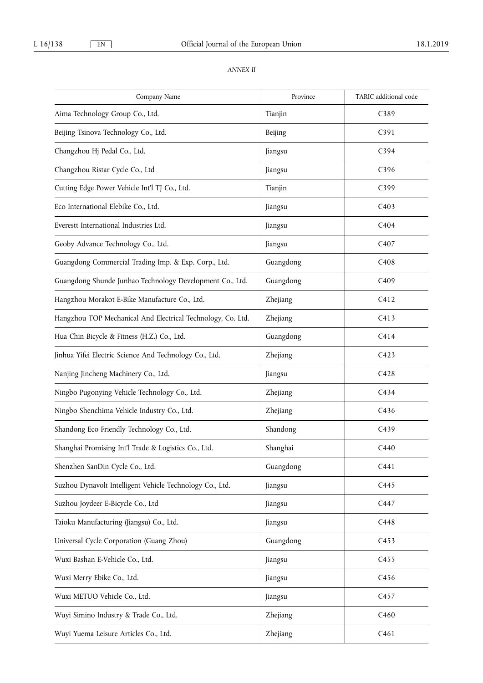# *ANNEX II*

| Company Name                                                | Province  | TARIC additional code |
|-------------------------------------------------------------|-----------|-----------------------|
| Aima Technology Group Co., Ltd.                             | Tianjin   | C389                  |
| Beijing Tsinova Technology Co., Ltd.                        | Beijing   | C391                  |
| Changzhou Hj Pedal Co., Ltd.                                | Jiangsu   | C394                  |
| Changzhou Ristar Cycle Co., Ltd                             | Jiangsu   | C396                  |
| Cutting Edge Power Vehicle Int'l TJ Co., Ltd.               | Tianjin   | C399                  |
| Eco International Elebike Co., Ltd.                         | Jiangsu   | C403                  |
| Everestt International Industries Ltd.                      | Jiangsu   | C404                  |
| Geoby Advance Technology Co., Ltd.                          | Jiangsu   | C <sub>4</sub> 07     |
| Guangdong Commercial Trading Imp. & Exp. Corp., Ltd.        | Guangdong | C408                  |
| Guangdong Shunde Junhao Technology Development Co., Ltd.    | Guangdong | C409                  |
| Hangzhou Morakot E-Bike Manufacture Co., Ltd.               | Zhejiang  | C412                  |
| Hangzhou TOP Mechanical And Electrical Technology, Co. Ltd. | Zhejiang  | C413                  |
| Hua Chin Bicycle & Fitness (H.Z.) Co., Ltd.                 | Guangdong | C414                  |
| Jinhua Yifei Electric Science And Technology Co., Ltd.      | Zhejiang  | C423                  |
| Nanjing Jincheng Machinery Co., Ltd.                        | Jiangsu   | C428                  |
| Ningbo Pugonying Vehicle Technology Co., Ltd.               | Zhejiang  | C434                  |
| Ningbo Shenchima Vehicle Industry Co., Ltd.                 | Zhejiang  | C436                  |
| Shandong Eco Friendly Technology Co., Ltd.                  | Shandong  | C439                  |
| Shanghai Promising Int'l Trade & Logistics Co., Ltd.        | Shanghai  | C440                  |
| Shenzhen SanDin Cycle Co., Ltd.                             | Guangdong | C441                  |
| Suzhou Dynavolt Intelligent Vehicle Technology Co., Ltd.    | Jiangsu   | C445                  |
| Suzhou Joydeer E-Bicycle Co., Ltd                           | Jiangsu   | C447                  |
| Taioku Manufacturing (Jiangsu) Co., Ltd.                    | Jiangsu   | C448                  |
| Universal Cycle Corporation (Guang Zhou)                    | Guangdong | C453                  |
| Wuxi Bashan E-Vehicle Co., Ltd.                             | Jiangsu   | C455                  |
| Wuxi Merry Ebike Co., Ltd.                                  | Jiangsu   | C456                  |
| Wuxi METUO Vehicle Co., Ltd.                                | Jiangsu   | C457                  |
| Wuyi Simino Industry & Trade Co., Ltd.                      | Zhejiang  | C460                  |
| Wuyi Yuema Leisure Articles Co., Ltd.                       | Zhejiang  | C461                  |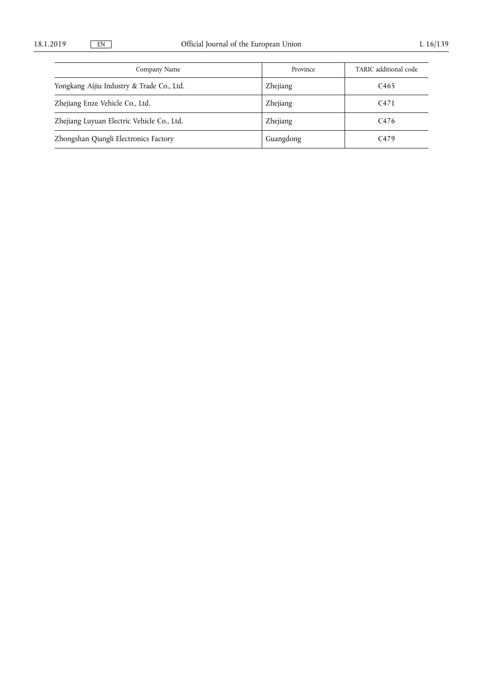| Company Name                               | Province        | TARIC additional code |
|--------------------------------------------|-----------------|-----------------------|
| Yongkang Aijiu Industry & Trade Co., Ltd.  | Zhejiang        | C <sub>465</sub>      |
| Zhejiang Enze Vehicle Co., Ltd.            | <b>Zhejiang</b> | C <sub>471</sub>      |
| Zhejiang Luyuan Electric Vehicle Co., Ltd. | Zhejiang        | C <sub>476</sub>      |
| Zhongshan Qiangli Electronics Factory      | Guangdong       | C <sub>479</sub>      |